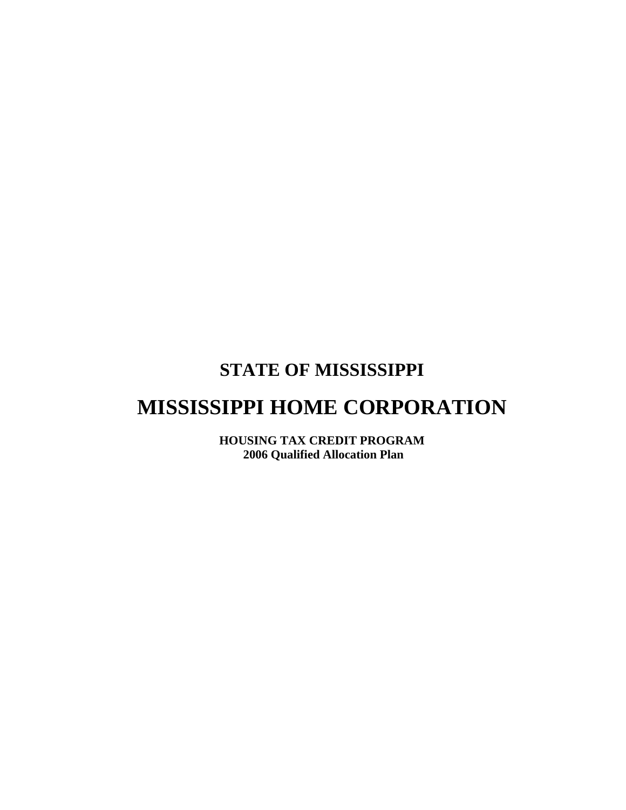### **STATE OF MISSISSIPPI**

# **MISSISSIPPI HOME CORPORATION**

**HOUSING TAX CREDIT PROGRAM 2006 Qualified Allocation Plan**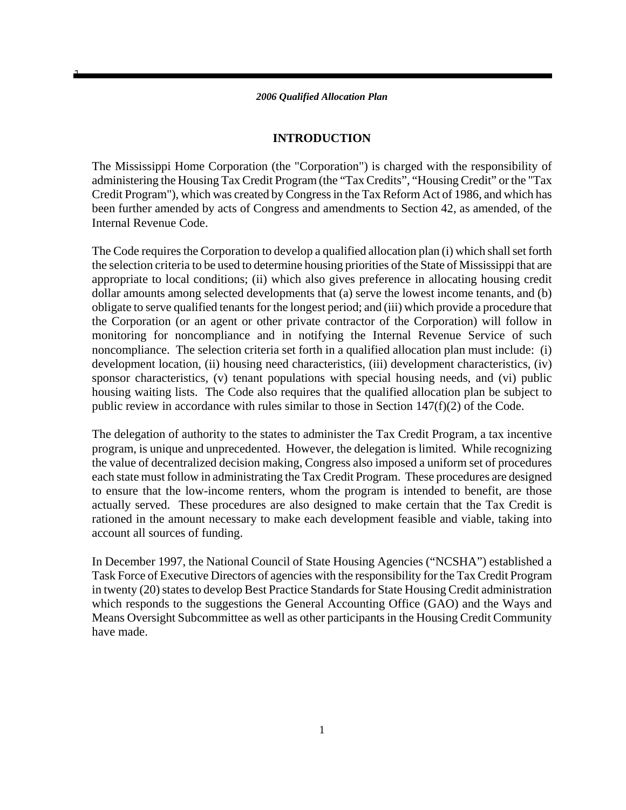1

### **INTRODUCTION**

The Mississippi Home Corporation (the "Corporation") is charged with the responsibility of administering the Housing Tax Credit Program (the "Tax Credits", "Housing Credit" or the "Tax Credit Program"), which was created by Congress in the Tax Reform Act of 1986, and which has been further amended by acts of Congress and amendments to Section 42, as amended, of the Internal Revenue Code.

The Code requires the Corporation to develop a qualified allocation plan (i) which shall set forth the selection criteria to be used to determine housing priorities of the State of Mississippi that are appropriate to local conditions; (ii) which also gives preference in allocating housing credit dollar amounts among selected developments that (a) serve the lowest income tenants, and (b) obligate to serve qualified tenants for the longest period; and (iii) which provide a procedure that the Corporation (or an agent or other private contractor of the Corporation) will follow in monitoring for noncompliance and in notifying the Internal Revenue Service of such noncompliance. The selection criteria set forth in a qualified allocation plan must include: (i) development location, (ii) housing need characteristics, (iii) development characteristics, (iv) sponsor characteristics, (v) tenant populations with special housing needs, and (vi) public housing waiting lists. The Code also requires that the qualified allocation plan be subject to public review in accordance with rules similar to those in Section 147(f)(2) of the Code.

The delegation of authority to the states to administer the Tax Credit Program, a tax incentive program, is unique and unprecedented. However, the delegation is limited. While recognizing the value of decentralized decision making, Congress also imposed a uniform set of procedures each state must follow in administrating the Tax Credit Program. These procedures are designed to ensure that the low-income renters, whom the program is intended to benefit, are those actually served. These procedures are also designed to make certain that the Tax Credit is rationed in the amount necessary to make each development feasible and viable, taking into account all sources of funding.

In December 1997, the National Council of State Housing Agencies ("NCSHA") established a Task Force of Executive Directors of agencies with the responsibility for the Tax Credit Program in twenty (20) states to develop Best Practice Standards for State Housing Credit administration which responds to the suggestions the General Accounting Office (GAO) and the Ways and Means Oversight Subcommittee as well as other participants in the Housing Credit Community have made.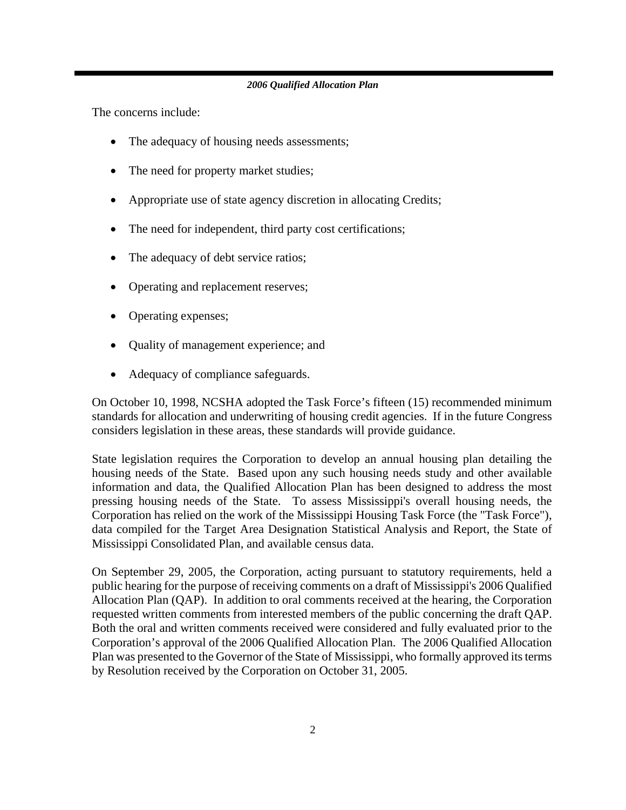The concerns include:

- The adequacy of housing needs assessments;
- The need for property market studies;
- Appropriate use of state agency discretion in allocating Credits;
- The need for independent, third party cost certifications;
- The adequacy of debt service ratios;
- Operating and replacement reserves;
- Operating expenses;
- Quality of management experience; and
- Adequacy of compliance safeguards.

On October 10, 1998, NCSHA adopted the Task Force's fifteen (15) recommended minimum standards for allocation and underwriting of housing credit agencies. If in the future Congress considers legislation in these areas, these standards will provide guidance.

State legislation requires the Corporation to develop an annual housing plan detailing the housing needs of the State. Based upon any such housing needs study and other available information and data, the Qualified Allocation Plan has been designed to address the most pressing housing needs of the State. To assess Mississippi's overall housing needs, the Corporation has relied on the work of the Mississippi Housing Task Force (the "Task Force"), data compiled for the Target Area Designation Statistical Analysis and Report, the State of Mississippi Consolidated Plan, and available census data.

On September 29, 2005, the Corporation, acting pursuant to statutory requirements, held a public hearing for the purpose of receiving comments on a draft of Mississippi's 2006 Qualified Allocation Plan (QAP). In addition to oral comments received at the hearing, the Corporation requested written comments from interested members of the public concerning the draft QAP. Both the oral and written comments received were considered and fully evaluated prior to the Corporation's approval of the 2006 Qualified Allocation Plan. The 2006 Qualified Allocation Plan was presented to the Governor of the State of Mississippi, who formally approved its terms by Resolution received by the Corporation on October 31, 2005.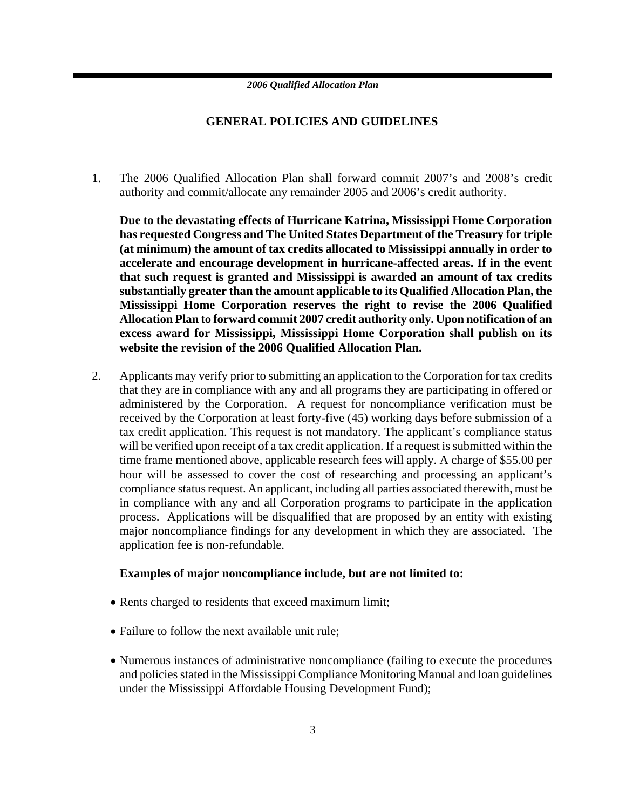### **GENERAL POLICIES AND GUIDELINES**

1. The 2006 Qualified Allocation Plan shall forward commit 2007's and 2008's credit authority and commit/allocate any remainder 2005 and 2006's credit authority.

**Due to the devastating effects of Hurricane Katrina, Mississippi Home Corporation has requested Congress and The United States Department of the Treasury for triple (at minimum) the amount of tax credits allocated to Mississippi annually in order to accelerate and encourage development in hurricane-affected areas. If in the event that such request is granted and Mississippi is awarded an amount of tax credits substantially greater than the amount applicable to its Qualified Allocation Plan, the Mississippi Home Corporation reserves the right to revise the 2006 Qualified Allocation Plan to forward commit 2007 credit authority only. Upon notification of an excess award for Mississippi, Mississippi Home Corporation shall publish on its website the revision of the 2006 Qualified Allocation Plan.**

2. Applicants may verify prior to submitting an application to the Corporation for tax credits that they are in compliance with any and all programs they are participating in offered or administered by the Corporation. A request for noncompliance verification must be received by the Corporation at least forty-five (45) working days before submission of a tax credit application. This request is not mandatory. The applicant's compliance status will be verified upon receipt of a tax credit application. If a request is submitted within the time frame mentioned above, applicable research fees will apply. A charge of \$55.00 per hour will be assessed to cover the cost of researching and processing an applicant's compliance status request. An applicant, including all parties associated therewith, must be in compliance with any and all Corporation programs to participate in the application process. Applications will be disqualified that are proposed by an entity with existing major noncompliance findings for any development in which they are associated. The application fee is non-refundable.

### **Examples of major noncompliance include, but are not limited to:**

- Rents charged to residents that exceed maximum limit;
- Failure to follow the next available unit rule:
- Numerous instances of administrative noncompliance (failing to execute the procedures and policies stated in the Mississippi Compliance Monitoring Manual and loan guidelines under the Mississippi Affordable Housing Development Fund);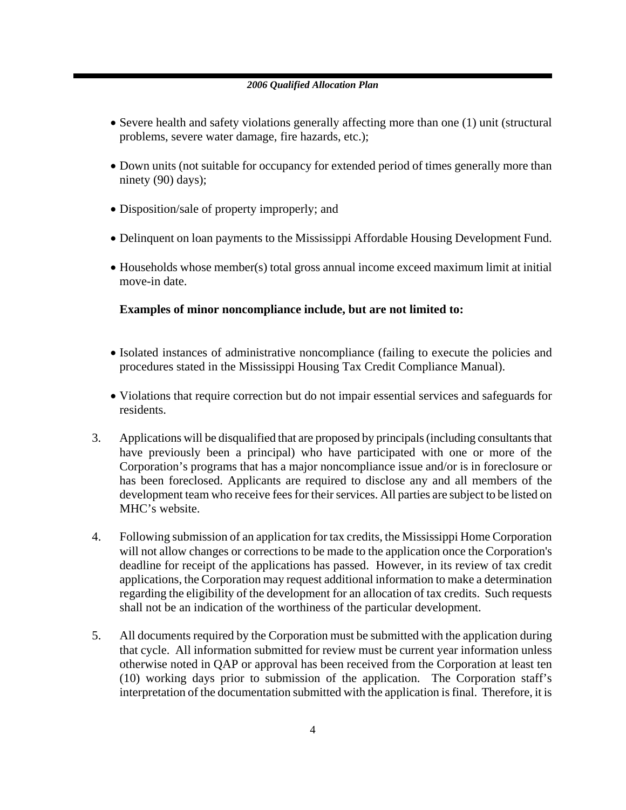- Severe health and safety violations generally affecting more than one (1) unit (structural problems, severe water damage, fire hazards, etc.);
- Down units (not suitable for occupancy for extended period of times generally more than ninety (90) days);
- Disposition/sale of property improperly; and
- Delinquent on loan payments to the Mississippi Affordable Housing Development Fund.
- Households whose member(s) total gross annual income exceed maximum limit at initial move-in date.

### **Examples of minor noncompliance include, but are not limited to:**

- Isolated instances of administrative noncompliance (failing to execute the policies and procedures stated in the Mississippi Housing Tax Credit Compliance Manual).
- Violations that require correction but do not impair essential services and safeguards for residents.
- 3. Applications will be disqualified that are proposed by principals (including consultants that have previously been a principal) who have participated with one or more of the Corporation's programs that has a major noncompliance issue and/or is in foreclosure or has been foreclosed. Applicants are required to disclose any and all members of the development team who receive fees for their services. All parties are subject to be listed on MHC's website.
- 4. Following submission of an application for tax credits, the Mississippi Home Corporation will not allow changes or corrections to be made to the application once the Corporation's deadline for receipt of the applications has passed. However, in its review of tax credit applications, the Corporation may request additional information to make a determination regarding the eligibility of the development for an allocation of tax credits. Such requests shall not be an indication of the worthiness of the particular development.
- 5. All documents required by the Corporation must be submitted with the application during that cycle. All information submitted for review must be current year information unless otherwise noted in QAP or approval has been received from the Corporation at least ten (10) working days prior to submission of the application. The Corporation staff's interpretation of the documentation submitted with the application is final. Therefore, it is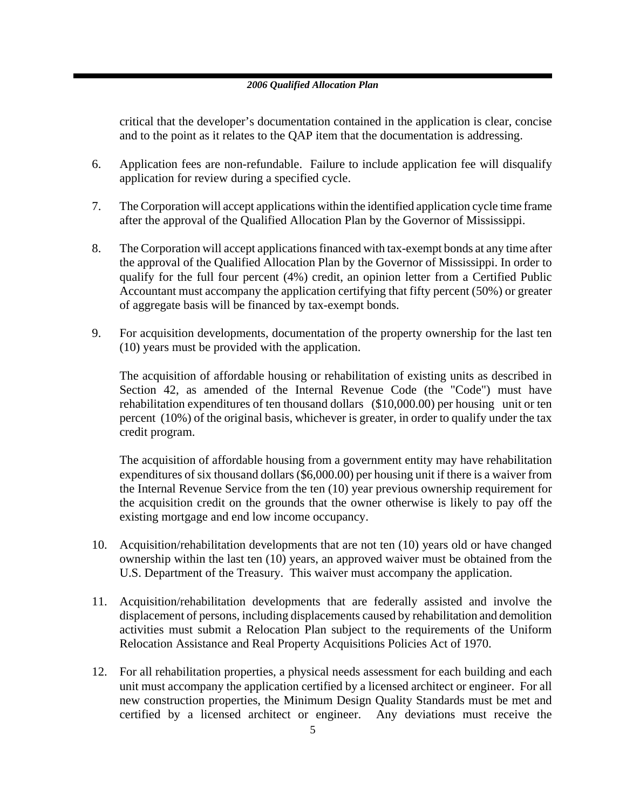critical that the developer's documentation contained in the application is clear, concise and to the point as it relates to the QAP item that the documentation is addressing.

- 6. Application fees are non-refundable. Failure to include application fee will disqualify application for review during a specified cycle.
- 7. The Corporation will accept applications within the identified application cycle time frame after the approval of the Qualified Allocation Plan by the Governor of Mississippi.
- 8. The Corporation will accept applications financed with tax-exempt bonds at any time after the approval of the Qualified Allocation Plan by the Governor of Mississippi. In order to qualify for the full four percent (4%) credit, an opinion letter from a Certified Public Accountant must accompany the application certifying that fifty percent (50%) or greater of aggregate basis will be financed by tax-exempt bonds.
- 9. For acquisition developments, documentation of the property ownership for the last ten (10) years must be provided with the application.

The acquisition of affordable housing or rehabilitation of existing units as described in Section 42, as amended of the Internal Revenue Code (the "Code") must have rehabilitation expenditures of ten thousand dollars (\$10,000.00) per housing unit or ten percent (10%) of the original basis, whichever is greater, in order to qualify under the tax credit program.

The acquisition of affordable housing from a government entity may have rehabilitation expenditures of six thousand dollars (\$6,000.00) per housing unit if there is a waiver from the Internal Revenue Service from the ten (10) year previous ownership requirement for the acquisition credit on the grounds that the owner otherwise is likely to pay off the existing mortgage and end low income occupancy.

- 10. Acquisition/rehabilitation developments that are not ten (10) years old or have changed ownership within the last ten (10) years, an approved waiver must be obtained from the U.S. Department of the Treasury. This waiver must accompany the application.
- 11. Acquisition/rehabilitation developments that are federally assisted and involve the displacement of persons, including displacements caused by rehabilitation and demolition activities must submit a Relocation Plan subject to the requirements of the Uniform Relocation Assistance and Real Property Acquisitions Policies Act of 1970.
- 12. For all rehabilitation properties, a physical needs assessment for each building and each unit must accompany the application certified by a licensed architect or engineer. For all new construction properties, the Minimum Design Quality Standards must be met and certified by a licensed architect or engineer. Any deviations must receive the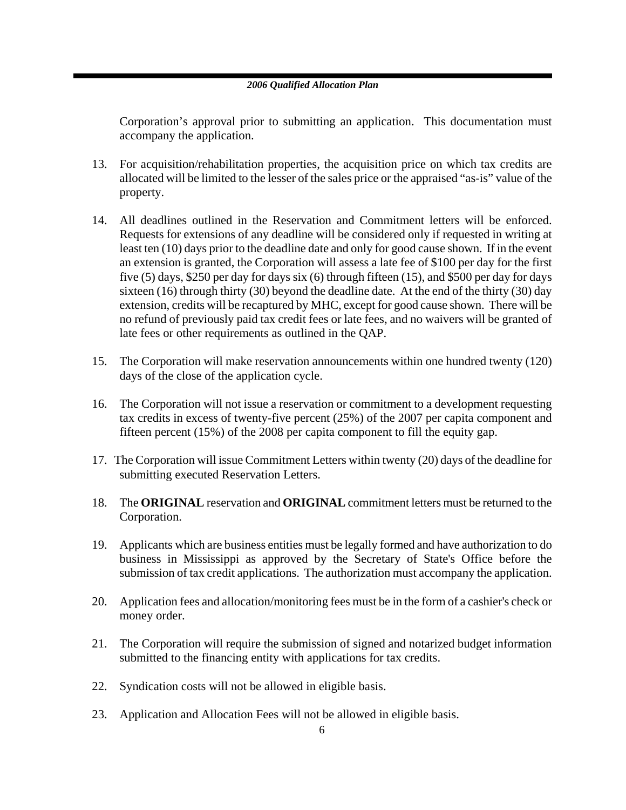Corporation's approval prior to submitting an application. This documentation must accompany the application.

- 13. For acquisition/rehabilitation properties, the acquisition price on which tax credits are allocated will be limited to the lesser of the sales price or the appraised "as-is" value of the property.
- 14. All deadlines outlined in the Reservation and Commitment letters will be enforced. Requests for extensions of any deadline will be considered only if requested in writing at least ten (10) days prior to the deadline date and only for good cause shown. If in the event an extension is granted, the Corporation will assess a late fee of \$100 per day for the first five (5) days, \$250 per day for days six (6) through fifteen (15), and \$500 per day for days sixteen (16) through thirty (30) beyond the deadline date. At the end of the thirty (30) day extension, credits will be recaptured by MHC, except for good cause shown. There will be no refund of previously paid tax credit fees or late fees, and no waivers will be granted of late fees or other requirements as outlined in the QAP.
- 15. The Corporation will make reservation announcements within one hundred twenty (120) days of the close of the application cycle.
- 16. The Corporation will not issue a reservation or commitment to a development requesting tax credits in excess of twenty-five percent (25%) of the 2007 per capita component and fifteen percent (15%) of the 2008 per capita component to fill the equity gap.
- 17. The Corporation will issue Commitment Letters within twenty (20) days of the deadline for submitting executed Reservation Letters.
- 18. The **ORIGINAL** reservation and **ORIGINAL** commitment letters must be returned to the Corporation.
- 19. Applicants which are business entities must be legally formed and have authorization to do business in Mississippi as approved by the Secretary of State's Office before the submission of tax credit applications. The authorization must accompany the application.
- 20. Application fees and allocation/monitoring fees must be in the form of a cashier's check or money order.
- 21. The Corporation will require the submission of signed and notarized budget information submitted to the financing entity with applications for tax credits.
- 22. Syndication costs will not be allowed in eligible basis.
- 23. Application and Allocation Fees will not be allowed in eligible basis.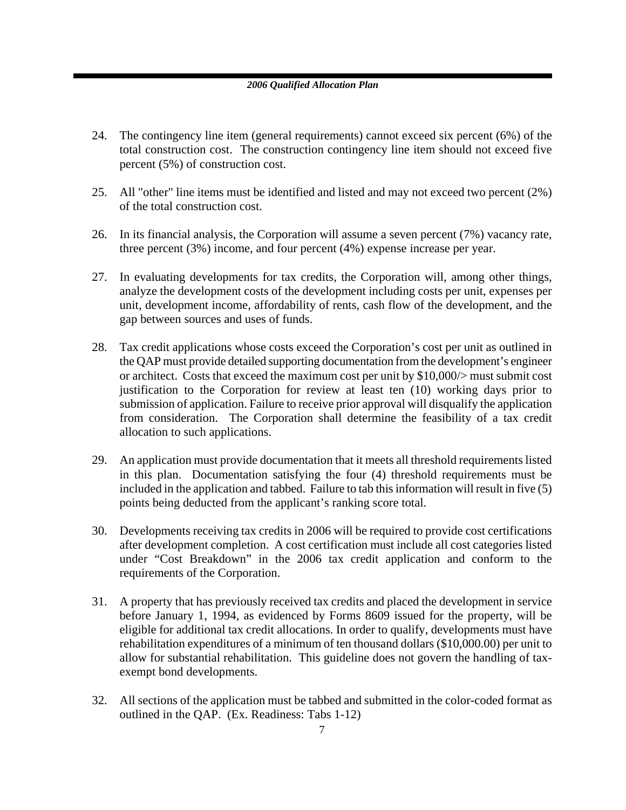- 24. The contingency line item (general requirements) cannot exceed six percent (6%) of the total construction cost. The construction contingency line item should not exceed five percent (5%) of construction cost.
- 25. All "other" line items must be identified and listed and may not exceed two percent (2%) of the total construction cost.
- 26. In its financial analysis, the Corporation will assume a seven percent (7%) vacancy rate, three percent (3%) income, and four percent (4%) expense increase per year.
- 27. In evaluating developments for tax credits, the Corporation will, among other things, analyze the development costs of the development including costs per unit, expenses per unit, development income, affordability of rents, cash flow of the development, and the gap between sources and uses of funds.
- 28. Tax credit applications whose costs exceed the Corporation's cost per unit as outlined in the QAP must provide detailed supporting documentation from the development's engineer or architect. Costs that exceed the maximum cost per unit by \$10,000/> must submit cost justification to the Corporation for review at least ten (10) working days prior to submission of application. Failure to receive prior approval will disqualify the application from consideration. The Corporation shall determine the feasibility of a tax credit allocation to such applications.
- 29. An application must provide documentation that it meets all threshold requirements listed in this plan. Documentation satisfying the four (4) threshold requirements must be included in the application and tabbed. Failure to tab this information will result in five (5) points being deducted from the applicant's ranking score total.
- 30. Developments receiving tax credits in 2006 will be required to provide cost certifications after development completion. A cost certification must include all cost categories listed under "Cost Breakdown" in the 2006 tax credit application and conform to the requirements of the Corporation.
- 31. A property that has previously received tax credits and placed the development in service before January 1, 1994, as evidenced by Forms 8609 issued for the property, will be eligible for additional tax credit allocations. In order to qualify, developments must have rehabilitation expenditures of a minimum of ten thousand dollars (\$10,000.00) per unit to allow for substantial rehabilitation. This guideline does not govern the handling of taxexempt bond developments.
- 32. All sections of the application must be tabbed and submitted in the color-coded format as outlined in the QAP. (Ex. Readiness: Tabs 1-12)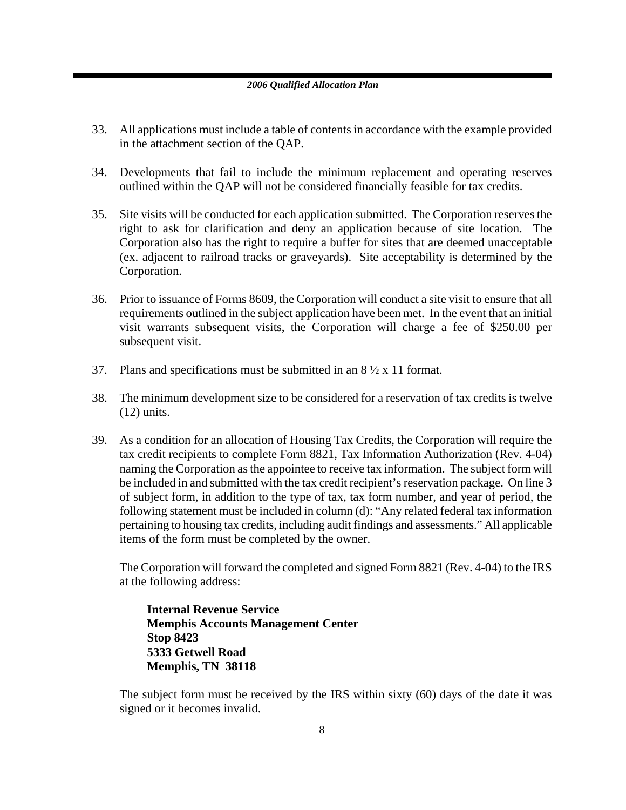- 33. All applications must include a table of contents in accordance with the example provided in the attachment section of the QAP.
- 34. Developments that fail to include the minimum replacement and operating reserves outlined within the QAP will not be considered financially feasible for tax credits.
- 35. Site visits will be conducted for each application submitted. The Corporation reserves the right to ask for clarification and deny an application because of site location. The Corporation also has the right to require a buffer for sites that are deemed unacceptable (ex. adjacent to railroad tracks or graveyards). Site acceptability is determined by the Corporation.
- 36. Prior to issuance of Forms 8609, the Corporation will conduct a site visit to ensure that all requirements outlined in the subject application have been met. In the event that an initial visit warrants subsequent visits, the Corporation will charge a fee of \$250.00 per subsequent visit.
- 37. Plans and specifications must be submitted in an  $8\frac{1}{2} \times 11$  format.
- 38. The minimum development size to be considered for a reservation of tax credits is twelve (12) units.
- 39. As a condition for an allocation of Housing Tax Credits, the Corporation will require the tax credit recipients to complete Form 8821, Tax Information Authorization (Rev. 4-04) naming the Corporation as the appointee to receive tax information. The subject form will be included in and submitted with the tax credit recipient's reservation package. On line 3 of subject form, in addition to the type of tax, tax form number, and year of period, the following statement must be included in column (d): "Any related federal tax information pertaining to housing tax credits, including audit findings and assessments." All applicable items of the form must be completed by the owner.

The Corporation will forward the completed and signed Form 8821 (Rev. 4-04) to the IRS at the following address:

**Internal Revenue Service Memphis Accounts Management Center Stop 8423 5333 Getwell Road Memphis, TN 38118**

The subject form must be received by the IRS within sixty (60) days of the date it was signed or it becomes invalid.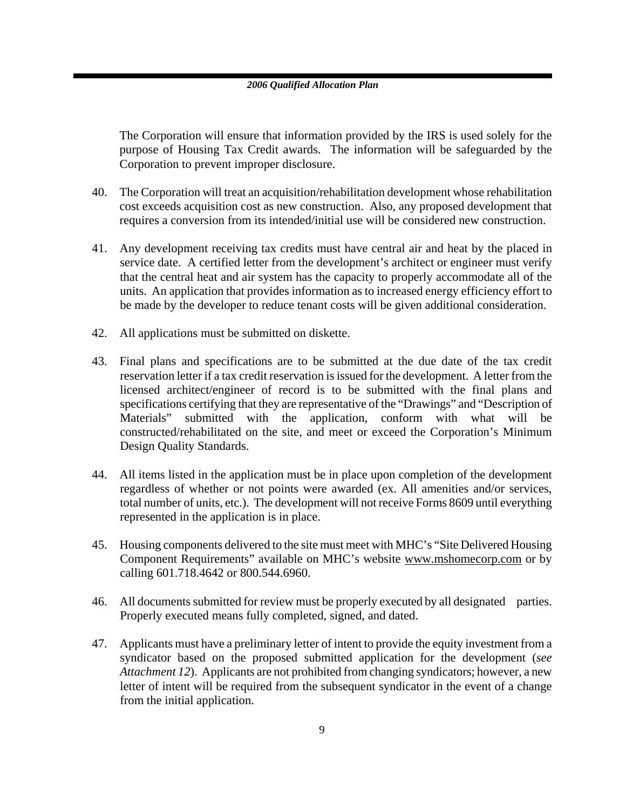The Corporation will ensure that information provided by the IRS is used solely for the purpose of Housing Tax Credit awards. The information will be safeguarded by the Corporation to prevent improper disclosure.

- 40. The Corporation will treat an acquisition/rehabilitation development whose rehabilitation cost exceeds acquisition cost as new construction. Also, any proposed development that requires a conversion from its intended/initial use will be considered new construction.
- 41. Any development receiving tax credits must have central air and heat by the placed in service date. A certified letter from the development's architect or engineer must verify that the central heat and air system has the capacity to properly accommodate all of the units. An application that provides information as to increased energy efficiency effort to be made by the developer to reduce tenant costs will be given additional consideration.
- 42. All applications must be submitted on diskette.
- 43. Final plans and specifications are to be submitted at the due date of the tax credit reservation letter if a tax credit reservation is issued for the development. A letter from the licensed architect/engineer of record is to be submitted with the final plans and specifications certifying that they are representative of the "Drawings" and "Description of Materials" submitted with the application, conform with what will be constructed/rehabilitated on the site, and meet or exceed the Corporation's Minimum Design Quality Standards.
- 44. All items listed in the application must be in place upon completion of the development regardless of whether or not points were awarded (ex. All amenities and/or services, total number of units, etc.). The development will not receive Forms 8609 until everything represented in the application is in place.
- 45. Housing components delivered to the site must meet with MHC's "Site Delivered Housing Component Requirements" available on MHC's website www.mshomecorp.com or by calling 601.718.4642 or 800.544.6960.
- 46. All documents submitted for review must be properly executed by all designated parties. Properly executed means fully completed, signed, and dated.
- 47. Applicants must have a preliminary letter of intent to provide the equity investment from a syndicator based on the proposed submitted application for the development (*see Attachment 12*). Applicants are not prohibited from changing syndicators; however, a new letter of intent will be required from the subsequent syndicator in the event of a change from the initial application.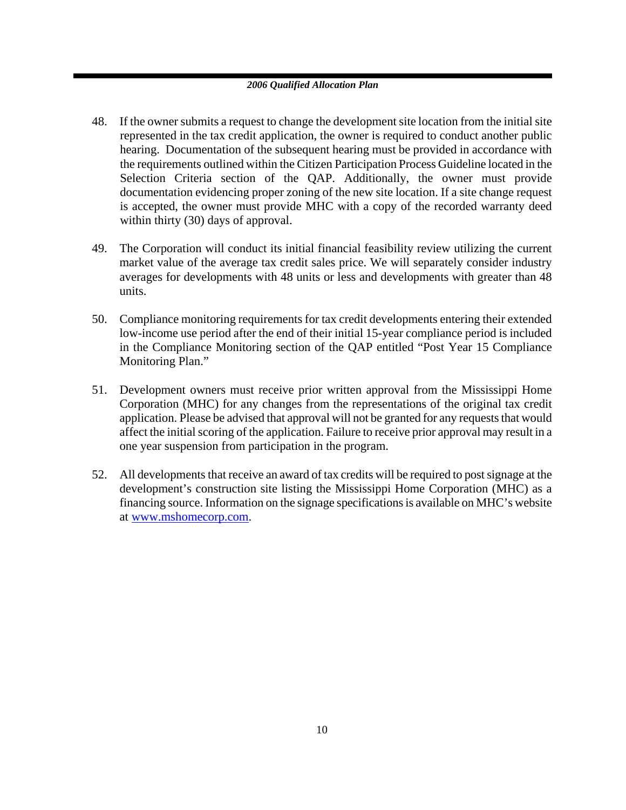- 48. If the owner submits a request to change the development site location from the initial site represented in the tax credit application, the owner is required to conduct another public hearing. Documentation of the subsequent hearing must be provided in accordance with the requirements outlined within the Citizen Participation Process Guideline located in the Selection Criteria section of the QAP. Additionally, the owner must provide documentation evidencing proper zoning of the new site location. If a site change request is accepted, the owner must provide MHC with a copy of the recorded warranty deed within thirty (30) days of approval.
- 49. The Corporation will conduct its initial financial feasibility review utilizing the current market value of the average tax credit sales price. We will separately consider industry averages for developments with 48 units or less and developments with greater than 48 units.
- 50. Compliance monitoring requirements for tax credit developments entering their extended low-income use period after the end of their initial 15-year compliance period is included in the Compliance Monitoring section of the QAP entitled "Post Year 15 Compliance Monitoring Plan."
- 51. Development owners must receive prior written approval from the Mississippi Home Corporation (MHC) for any changes from the representations of the original tax credit application. Please be advised that approval will not be granted for any requests that would affect the initial scoring of the application. Failure to receive prior approval may result in a one year suspension from participation in the program.
- 52. All developments that receive an award of tax credits will be required to post signage at the development's construction site listing the Mississippi Home Corporation (MHC) as a financing source. Information on the signage specifications is available on MHC's website at www.mshomecorp.com.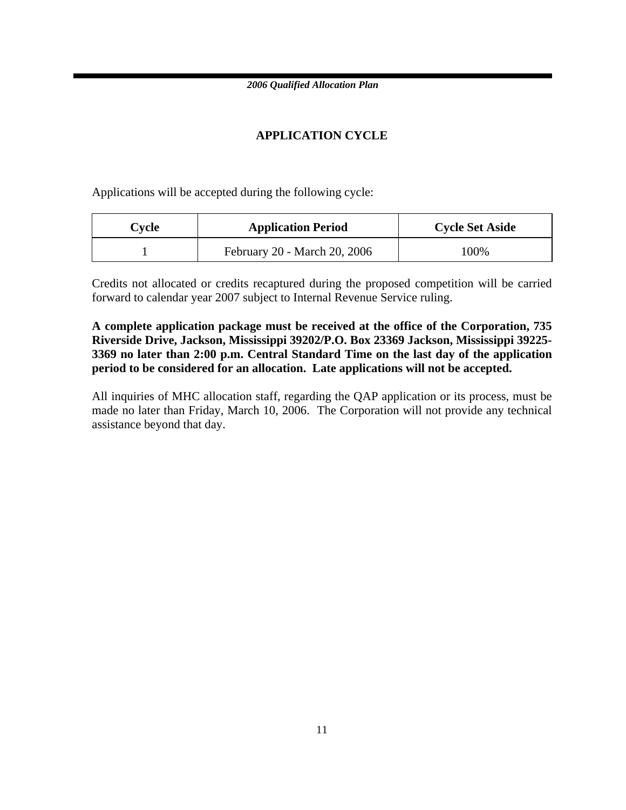### **APPLICATION CYCLE**

Applications will be accepted during the following cycle:

| $C$ vcle | <b>Application Period</b>    | <b>Cycle Set Aside</b> |
|----------|------------------------------|------------------------|
|          | February 20 - March 20, 2006 | 100%                   |

Credits not allocated or credits recaptured during the proposed competition will be carried forward to calendar year 2007 subject to Internal Revenue Service ruling.

**A complete application package must be received at the office of the Corporation, 735 Riverside Drive, Jackson, Mississippi 39202/P.O. Box 23369 Jackson, Mississippi 39225- 3369 no later than 2:00 p.m. Central Standard Time on the last day of the application period to be considered for an allocation. Late applications will not be accepted.** 

All inquiries of MHC allocation staff, regarding the QAP application or its process, must be made no later than Friday, March 10, 2006. The Corporation will not provide any technical assistance beyond that day.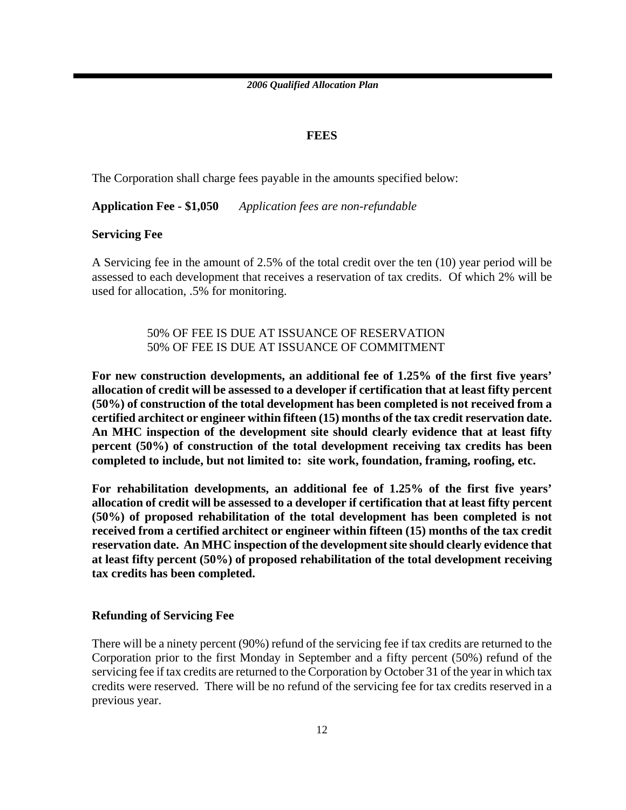### **FEES**

The Corporation shall charge fees payable in the amounts specified below:

**Application Fee - \$1,050** *Application fees are non-refundable*

### **Servicing Fee**

A Servicing fee in the amount of 2.5% of the total credit over the ten (10) year period will be assessed to each development that receives a reservation of tax credits. Of which 2% will be used for allocation, .5% for monitoring.

> 50% OF FEE IS DUE AT ISSUANCE OF RESERVATION 50% OF FEE IS DUE AT ISSUANCE OF COMMITMENT

**For new construction developments, an additional fee of 1.25% of the first five years' allocation of credit will be assessed to a developer if certification that at least fifty percent (50%) of construction of the total development has been completed is not received from a certified architect or engineer within fifteen (15) months of the tax credit reservation date. An MHC inspection of the development site should clearly evidence that at least fifty percent (50%) of construction of the total development receiving tax credits has been completed to include, but not limited to: site work, foundation, framing, roofing, etc.** 

**For rehabilitation developments, an additional fee of 1.25% of the first five years' allocation of credit will be assessed to a developer if certification that at least fifty percent (50%) of proposed rehabilitation of the total development has been completed is not received from a certified architect or engineer within fifteen (15) months of the tax credit reservation date. An MHC inspection of the development site should clearly evidence that at least fifty percent (50%) of proposed rehabilitation of the total development receiving tax credits has been completed.** 

### **Refunding of Servicing Fee**

There will be a ninety percent (90%) refund of the servicing fee if tax credits are returned to the Corporation prior to the first Monday in September and a fifty percent (50%) refund of the servicing fee if tax credits are returned to the Corporation by October 31 of the year in which tax credits were reserved. There will be no refund of the servicing fee for tax credits reserved in a previous year.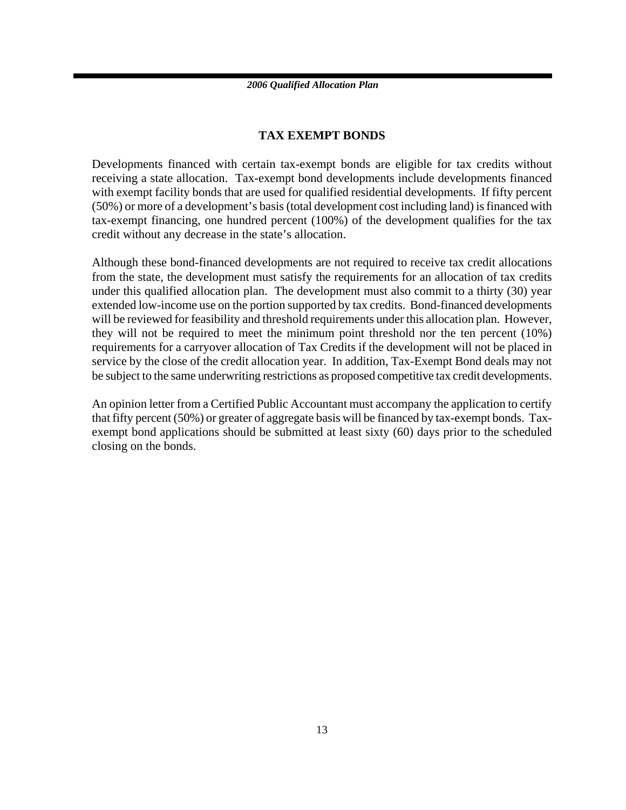### **TAX EXEMPT BONDS**

Developments financed with certain tax-exempt bonds are eligible for tax credits without receiving a state allocation. Tax-exempt bond developments include developments financed with exempt facility bonds that are used for qualified residential developments. If fifty percent (50%) or more of a development's basis (total development cost including land) is financed with tax-exempt financing, one hundred percent (100%) of the development qualifies for the tax credit without any decrease in the state's allocation.

Although these bond-financed developments are not required to receive tax credit allocations from the state, the development must satisfy the requirements for an allocation of tax credits under this qualified allocation plan. The development must also commit to a thirty (30) year extended low-income use on the portion supported by tax credits. Bond-financed developments will be reviewed for feasibility and threshold requirements under this allocation plan. However, they will not be required to meet the minimum point threshold nor the ten percent (10%) requirements for a carryover allocation of Tax Credits if the development will not be placed in service by the close of the credit allocation year. In addition, Tax-Exempt Bond deals may not be subject to the same underwriting restrictions as proposed competitive tax credit developments.

An opinion letter from a Certified Public Accountant must accompany the application to certify that fifty percent (50%) or greater of aggregate basis will be financed by tax-exempt bonds. Taxexempt bond applications should be submitted at least sixty (60) days prior to the scheduled closing on the bonds.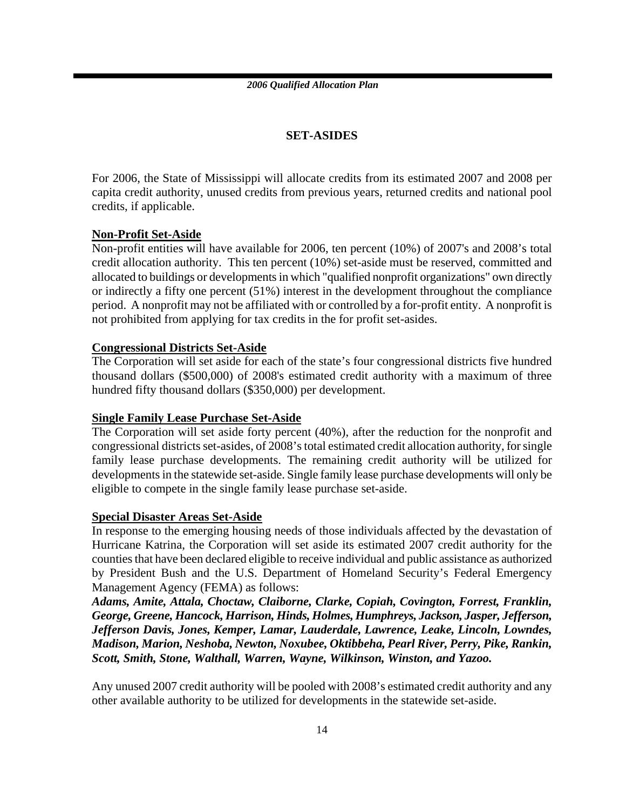### **SET-ASIDES**

For 2006, the State of Mississippi will allocate credits from its estimated 2007 and 2008 per capita credit authority, unused credits from previous years, returned credits and national pool credits, if applicable.

### **Non-Profit Set-Aside**

Non-profit entities will have available for 2006, ten percent (10%) of 2007's and 2008's total credit allocation authority. This ten percent (10%) set-aside must be reserved, committed and allocated to buildings or developments in which "qualified nonprofit organizations" own directly or indirectly a fifty one percent (51%) interest in the development throughout the compliance period. A nonprofit may not be affiliated with or controlled by a for-profit entity. A nonprofit is not prohibited from applying for tax credits in the for profit set-asides.

### **Congressional Districts Set-Aside**

The Corporation will set aside for each of the state's four congressional districts five hundred thousand dollars (\$500,000) of 2008's estimated credit authority with a maximum of three hundred fifty thousand dollars (\$350,000) per development.

### **Single Family Lease Purchase Set-Aside**

The Corporation will set aside forty percent (40%), after the reduction for the nonprofit and congressional districts set-asides, of 2008's total estimated credit allocation authority, for single family lease purchase developments. The remaining credit authority will be utilized for developments in the statewide set-aside. Single family lease purchase developments will only be eligible to compete in the single family lease purchase set-aside.

### **Special Disaster Areas Set-Aside**

In response to the emerging housing needs of those individuals affected by the devastation of Hurricane Katrina, the Corporation will set aside its estimated 2007 credit authority for the counties that have been declared eligible to receive individual and public assistance as authorized by President Bush and the U.S. Department of Homeland Security's Federal Emergency Management Agency (FEMA) as follows:

*Adams, Amite, Attala, Choctaw, Claiborne, Clarke, Copiah, Covington, Forrest, Franklin, George, Greene, Hancock, Harrison, Hinds, Holmes, Humphreys, Jackson, Jasper, Jefferson, Jefferson Davis, Jones, Kemper, Lamar, Lauderdale, Lawrence, Leake, Lincoln, Lowndes, Madison, Marion, Neshoba, Newton, Noxubee, Oktibbeha, Pearl River, Perry, Pike, Rankin, Scott, Smith, Stone, Walthall, Warren, Wayne, Wilkinson, Winston, and Yazoo.*

Any unused 2007 credit authority will be pooled with 2008's estimated credit authority and any other available authority to be utilized for developments in the statewide set-aside.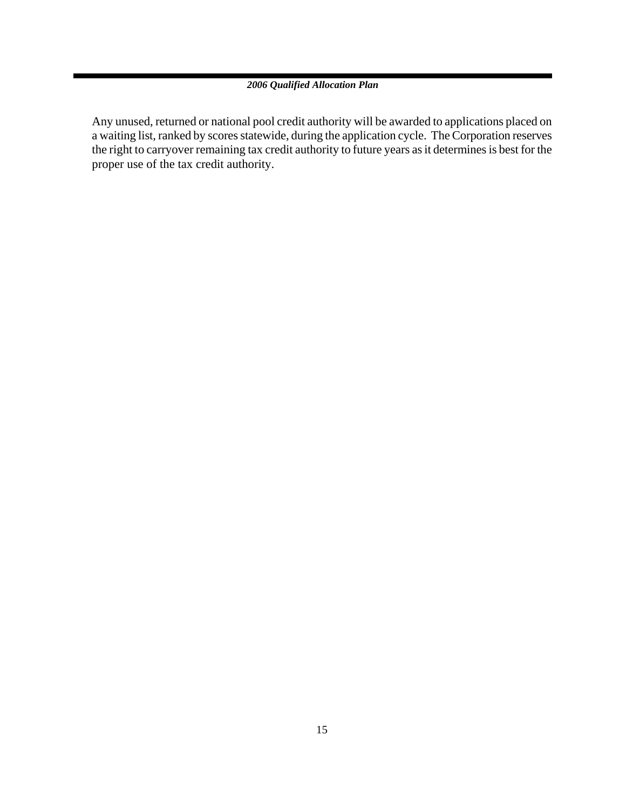Any unused, returned or national pool credit authority will be awarded to applications placed on a waiting list, ranked by scores statewide, during the application cycle. The Corporation reserves the right to carryover remaining tax credit authority to future years as it determines is best for the proper use of the tax credit authority.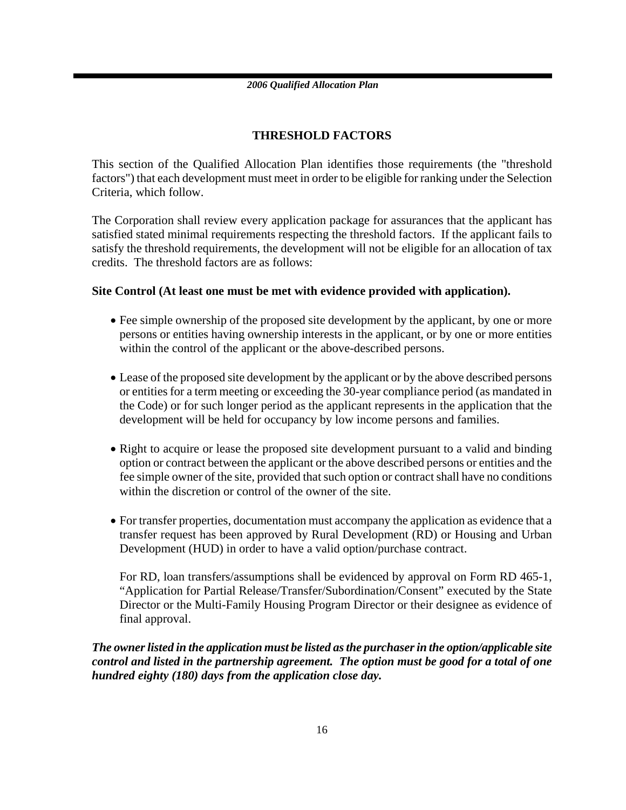### **THRESHOLD FACTORS**

This section of the Qualified Allocation Plan identifies those requirements (the "threshold factors") that each development must meet in order to be eligible for ranking under the Selection Criteria, which follow.

The Corporation shall review every application package for assurances that the applicant has satisfied stated minimal requirements respecting the threshold factors. If the applicant fails to satisfy the threshold requirements, the development will not be eligible for an allocation of tax credits. The threshold factors are as follows:

### **Site Control (At least one must be met with evidence provided with application).**

- Fee simple ownership of the proposed site development by the applicant, by one or more persons or entities having ownership interests in the applicant, or by one or more entities within the control of the applicant or the above-described persons.
- Lease of the proposed site development by the applicant or by the above described persons or entities for a term meeting or exceeding the 30-year compliance period (as mandated in the Code) or for such longer period as the applicant represents in the application that the development will be held for occupancy by low income persons and families.
- Right to acquire or lease the proposed site development pursuant to a valid and binding option or contract between the applicant or the above described persons or entities and the fee simple owner of the site, provided that such option or contract shall have no conditions within the discretion or control of the owner of the site.
- For transfer properties, documentation must accompany the application as evidence that a transfer request has been approved by Rural Development (RD) or Housing and Urban Development (HUD) in order to have a valid option/purchase contract.

For RD, loan transfers/assumptions shall be evidenced by approval on Form RD 465-1, "Application for Partial Release/Transfer/Subordination/Consent" executed by the State Director or the Multi-Family Housing Program Director or their designee as evidence of final approval.

*The owner listed in the application must be listed as the purchaser in the option/applicable site control and listed in the partnership agreement. The option must be good for a total of one hundred eighty (180) days from the application close day.*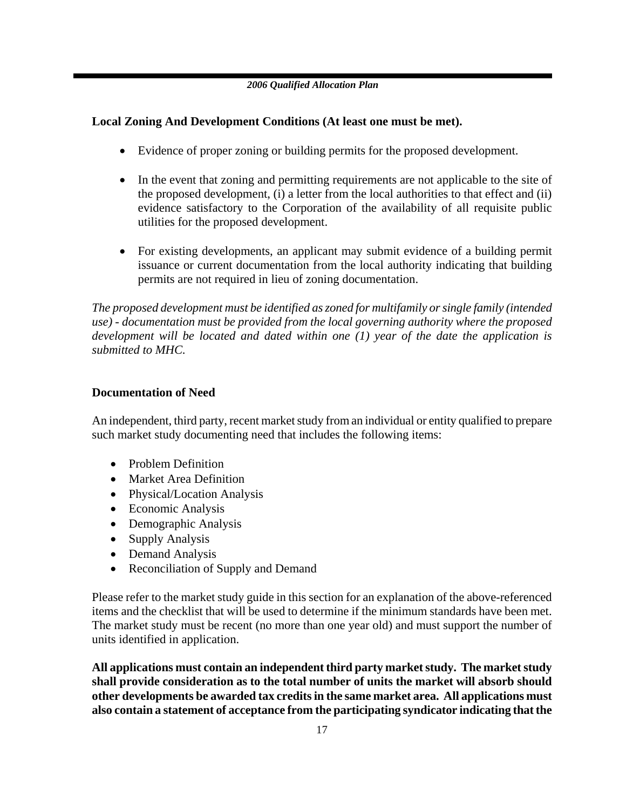### **Local Zoning And Development Conditions (At least one must be met).**

- Evidence of proper zoning or building permits for the proposed development.
- In the event that zoning and permitting requirements are not applicable to the site of the proposed development, (i) a letter from the local authorities to that effect and (ii) evidence satisfactory to the Corporation of the availability of all requisite public utilities for the proposed development.
- For existing developments, an applicant may submit evidence of a building permit issuance or current documentation from the local authority indicating that building permits are not required in lieu of zoning documentation.

*The proposed development must be identified as zoned for multifamily or single family (intended use) - documentation must be provided from the local governing authority where the proposed development will be located and dated within one (1) year of the date the application is submitted to MHC.* 

### **Documentation of Need**

An independent, third party, recent market study from an individual or entity qualified to prepare such market study documenting need that includes the following items:

- Problem Definition
- Market Area Definition
- Physical/Location Analysis
- Economic Analysis
- Demographic Analysis
- Supply Analysis
- Demand Analysis
- Reconciliation of Supply and Demand

Please refer to the market study guide in this section for an explanation of the above-referenced items and the checklist that will be used to determine if the minimum standards have been met. The market study must be recent (no more than one year old) and must support the number of units identified in application.

**All applications must contain an independent third party market study. The market study shall provide consideration as to the total number of units the market will absorb should other developments be awarded tax credits in the same market area. All applications must also contain a statement of acceptance from the participating syndicator indicating that the**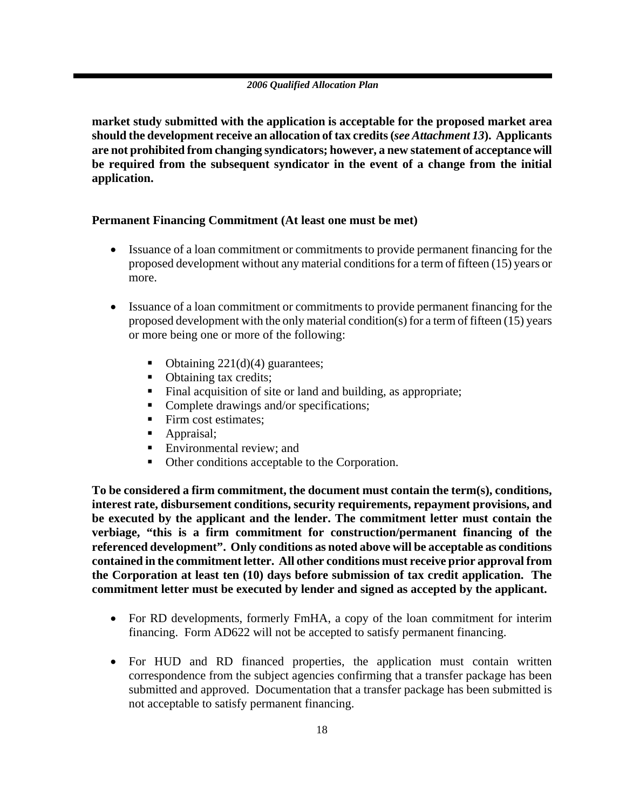**market study submitted with the application is acceptable for the proposed market area should the development receive an allocation of tax credits (***see Attachment 13***). Applicants are not prohibited from changing syndicators; however, a new statement of acceptance will be required from the subsequent syndicator in the event of a change from the initial application.**

### **Permanent Financing Commitment (At least one must be met)**

- Issuance of a loan commitment or commitments to provide permanent financing for the proposed development without any material conditions for a term of fifteen (15) years or more.
- Issuance of a loan commitment or commitments to provide permanent financing for the proposed development with the only material condition(s) for a term of fifteen (15) years or more being one or more of the following:
	- Obtaining  $221(d)(4)$  guarantees;
	- Obtaining tax credits;
	- Final acquisition of site or land and building, as appropriate;
	- Complete drawings and/or specifications;
	- Firm cost estimates;
	- Appraisal;
	- **Environmental review; and**
	- Other conditions acceptable to the Corporation.

**To be considered a firm commitment, the document must contain the term(s), conditions, interest rate, disbursement conditions, security requirements, repayment provisions, and be executed by the applicant and the lender. The commitment letter must contain the verbiage, "this is a firm commitment for construction/permanent financing of the referenced development". Only conditions as noted above will be acceptable as conditions contained in the commitment letter. All other conditions must receive prior approval from the Corporation at least ten (10) days before submission of tax credit application. The commitment letter must be executed by lender and signed as accepted by the applicant.** 

- For RD developments, formerly FmHA, a copy of the loan commitment for interim financing. Form AD622 will not be accepted to satisfy permanent financing.
- For HUD and RD financed properties, the application must contain written correspondence from the subject agencies confirming that a transfer package has been submitted and approved. Documentation that a transfer package has been submitted is not acceptable to satisfy permanent financing.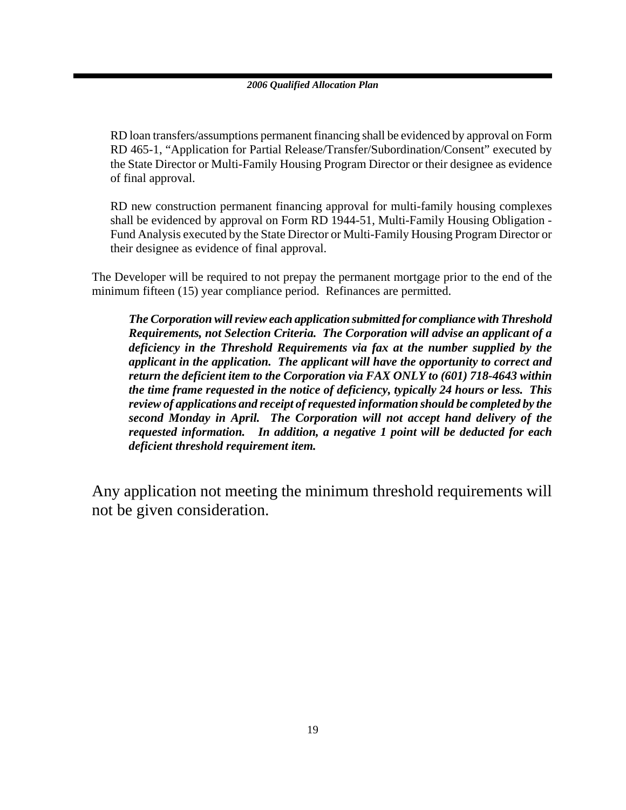RD loan transfers/assumptions permanent financing shall be evidenced by approval on Form RD 465-1, "Application for Partial Release/Transfer/Subordination/Consent" executed by the State Director or Multi-Family Housing Program Director or their designee as evidence of final approval.

RD new construction permanent financing approval for multi-family housing complexes shall be evidenced by approval on Form RD 1944-51, Multi-Family Housing Obligation - Fund Analysis executed by the State Director or Multi-Family Housing Program Director or their designee as evidence of final approval.

The Developer will be required to not prepay the permanent mortgage prior to the end of the minimum fifteen (15) year compliance period. Refinances are permitted.

*The Corporation will review each application submitted for compliance with Threshold Requirements, not Selection Criteria. The Corporation will advise an applicant of a deficiency in the Threshold Requirements via fax at the number supplied by the applicant in the application. The applicant will have the opportunity to correct and return the deficient item to the Corporation via FAX ONLY to (601) 718-4643 within the time frame requested in the notice of deficiency, typically 24 hours or less. This review of applications and receipt of requested information should be completed by the second Monday in April. The Corporation will not accept hand delivery of the requested information.**In addition, a negative 1 point will be deducted for each deficient threshold requirement item.* 

Any application not meeting the minimum threshold requirements will not be given consideration.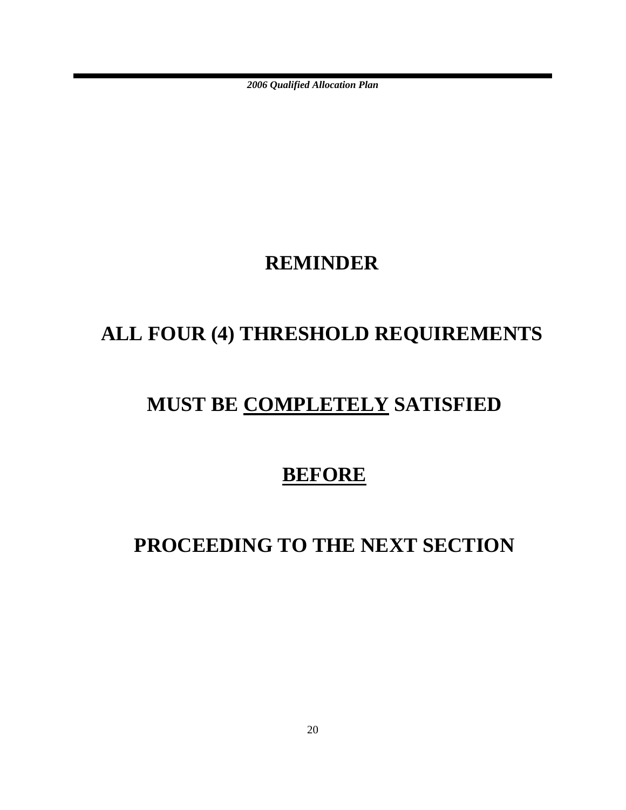### **REMINDER**

# **ALL FOUR (4) THRESHOLD REQUIREMENTS**

# **MUST BE COMPLETELY SATISFIED**

### **BEFORE**

# **PROCEEDING TO THE NEXT SECTION**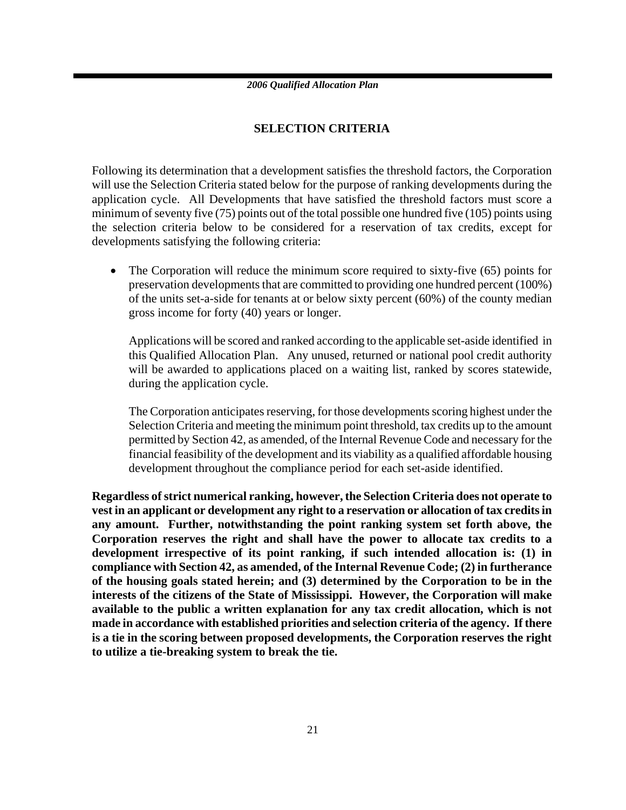### **SELECTION CRITERIA**

Following its determination that a development satisfies the threshold factors, the Corporation will use the Selection Criteria stated below for the purpose of ranking developments during the application cycle. All Developments that have satisfied the threshold factors must score a minimum of seventy five (75) points out of the total possible one hundred five (105) points using the selection criteria below to be considered for a reservation of tax credits, except for developments satisfying the following criteria:

• The Corporation will reduce the minimum score required to sixty-five (65) points for preservation developments that are committed to providing one hundred percent (100%) of the units set-a-side for tenants at or below sixty percent (60%) of the county median gross income for forty (40) years or longer.

Applications will be scored and ranked according to the applicable set-aside identified in this Qualified Allocation Plan. Any unused, returned or national pool credit authority will be awarded to applications placed on a waiting list, ranked by scores statewide, during the application cycle.

The Corporation anticipates reserving, for those developments scoring highest under the Selection Criteria and meeting the minimum point threshold, tax credits up to the amount permitted by Section 42, as amended, of the Internal Revenue Code and necessary for the financial feasibility of the development and its viability as a qualified affordable housing development throughout the compliance period for each set-aside identified.

**Regardless of strict numerical ranking, however, the Selection Criteria does not operate to vest in an applicant or development any right to a reservation or allocation of tax credits in any amount. Further, notwithstanding the point ranking system set forth above, the Corporation reserves the right and shall have the power to allocate tax credits to a development irrespective of its point ranking, if such intended allocation is: (1) in compliance with Section 42, as amended, of the Internal Revenue Code; (2) in furtherance of the housing goals stated herein; and (3) determined by the Corporation to be in the interests of the citizens of the State of Mississippi. However, the Corporation will make available to the public a written explanation for any tax credit allocation, which is not made in accordance with established priorities and selection criteria of the agency. If there is a tie in the scoring between proposed developments, the Corporation reserves the right to utilize a tie-breaking system to break the tie.**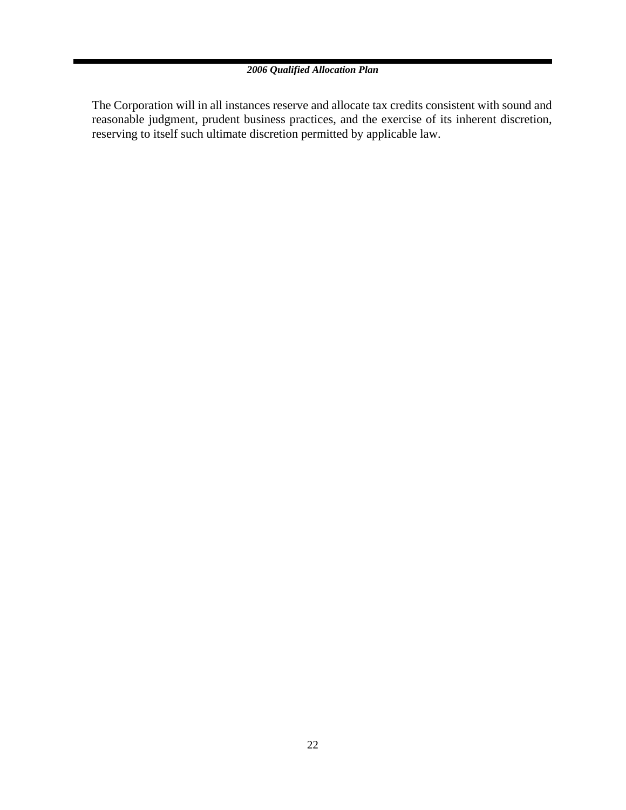The Corporation will in all instances reserve and allocate tax credits consistent with sound and reasonable judgment, prudent business practices, and the exercise of its inherent discretion, reserving to itself such ultimate discretion permitted by applicable law.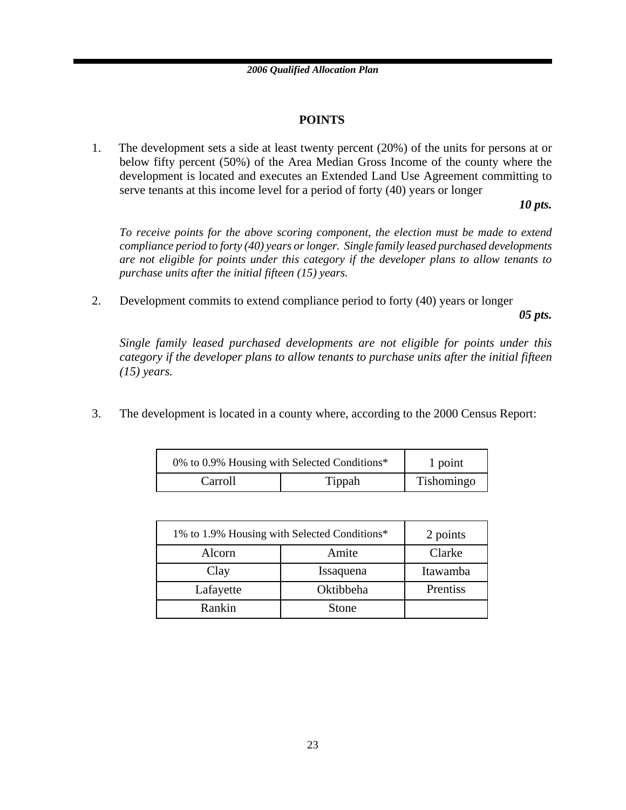### **POINTS**

1. The development sets a side at least twenty percent (20%) of the units for persons at or below fifty percent (50%) of the Area Median Gross Income of the county where the development is located and executes an Extended Land Use Agreement committing to serve tenants at this income level for a period of forty (40) years or longer

*10 pts.*

*To receive points for the above scoring component, the election must be made to extend compliance period to forty (40) years or longer. Single family leased purchased developments are not eligible for points under this category if the developer plans to allow tenants to purchase units after the initial fifteen (15) years.*

2. Development commits to extend compliance period to forty (40) years or longer

*05 pts.*

*Single family leased purchased developments are not eligible for points under this category if the developer plans to allow tenants to purchase units after the initial fifteen (15) years.*

3. The development is located in a county where, according to the 2000 Census Report:

| 0% to 0.9% Housing with Selected Conditions* |        | 1 point    |
|----------------------------------------------|--------|------------|
| Carroll                                      | Tippah | Tishomingo |

| 1% to 1.9% Housing with Selected Conditions* |           | 2 points |
|----------------------------------------------|-----------|----------|
| Amite<br>Alcorn                              |           | Clarke   |
| Clay                                         | Issaquena | Itawamba |
| Lafayette                                    | Oktibbeha | Prentiss |
| Rankin                                       | Stone     |          |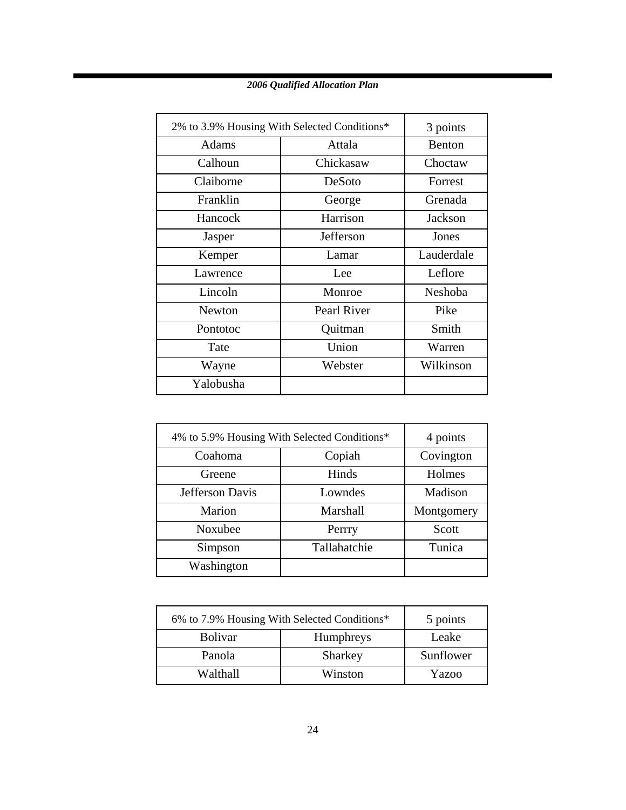| 2% to 3.9% Housing With Selected Conditions* |             | 3 points   |
|----------------------------------------------|-------------|------------|
| Adams                                        | Attala      |            |
| Calhoun                                      | Chickasaw   | Choctaw    |
| Claiborne                                    | DeSoto      | Forrest    |
| Franklin                                     | George      | Grenada    |
| Hancock                                      | Harrison    | Jackson    |
| Jasper                                       | Jefferson   | Jones      |
| Kemper                                       | Lamar       | Lauderdale |
| Lawrence                                     | Lee         | Leflore    |
| Lincoln                                      | Monroe      | Neshoba    |
| Newton                                       | Pearl River | Pike       |
| Pontotoc                                     | Quitman     | Smith      |
| Tate                                         | Union       | Warren     |
| Wayne                                        | Webster     | Wilkinson  |
| Yalobusha                                    |             |            |

| 4% to 5.9% Housing With Selected Conditions* |              | 4 points   |
|----------------------------------------------|--------------|------------|
| Copiah<br>Coahoma                            |              | Covington  |
| Greene                                       | Hinds        | Holmes     |
| Jefferson Davis<br>Lowndes                   |              | Madison    |
| Marion                                       | Marshall     | Montgomery |
| Noxubee                                      | Perrry       | Scott      |
| Simpson                                      | Tallahatchie | Tunica     |
| Washington                                   |              |            |

| 6% to 7.9% Housing With Selected Conditions* |                  | 5 points  |
|----------------------------------------------|------------------|-----------|
| <b>Bolivar</b>                               | <b>Humphreys</b> |           |
| Panola                                       | Sharkey          | Sunflower |
| Walthall                                     | Winston          | Yazoo     |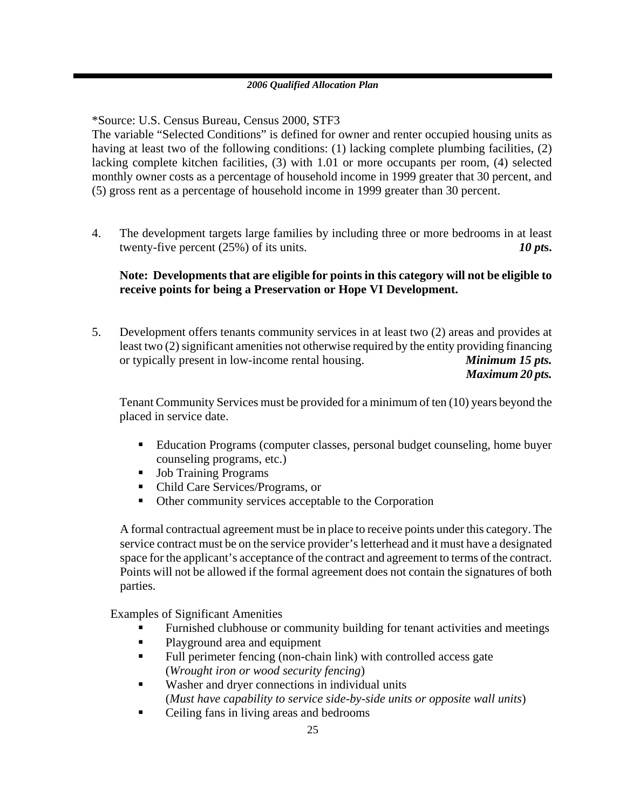\*Source: U.S. Census Bureau, Census 2000, STF3

The variable "Selected Conditions" is defined for owner and renter occupied housing units as having at least two of the following conditions: (1) lacking complete plumbing facilities, (2) lacking complete kitchen facilities, (3) with 1.01 or more occupants per room, (4) selected monthly owner costs as a percentage of household income in 1999 greater that 30 percent, and (5) gross rent as a percentage of household income in 1999 greater than 30 percent.

4. The development targets large families by including three or more bedrooms in at least twenty-five percent (25%) of its units. *10 pts.* 

### **Note: Developments that are eligible for points in this category will not be eligible to receive points for being a Preservation or Hope VI Development.**

5. Development offers tenants community services in at least two (2) areas and provides at least two (2) significant amenities not otherwise required by the entity providing financing or typically present in low-income rental housing. *Minimum 15 pts. Maximum 20 pts.*

Tenant Community Services must be provided for a minimum of ten (10) years beyond the placed in service date.

- Education Programs (computer classes, personal budget counseling, home buyer counseling programs, etc.)
- Job Training Programs
- Child Care Services/Programs, or
- Other community services acceptable to the Corporation

A formal contractual agreement must be in place to receive points under this category. The service contract must be on the service provider's letterhead and it must have a designated space for the applicant's acceptance of the contract and agreement to terms of the contract. Points will not be allowed if the formal agreement does not contain the signatures of both parties.

Examples of Significant Amenities

- Furnished clubhouse or community building for tenant activities and meetings
- Playground area and equipment
- Full perimeter fencing (non-chain link) with controlled access gate (*Wrought iron or wood security fencing*)
- Washer and dryer connections in individual units (*Must have capability to service side-by-side units or opposite wall units*)
- Ceiling fans in living areas and bedrooms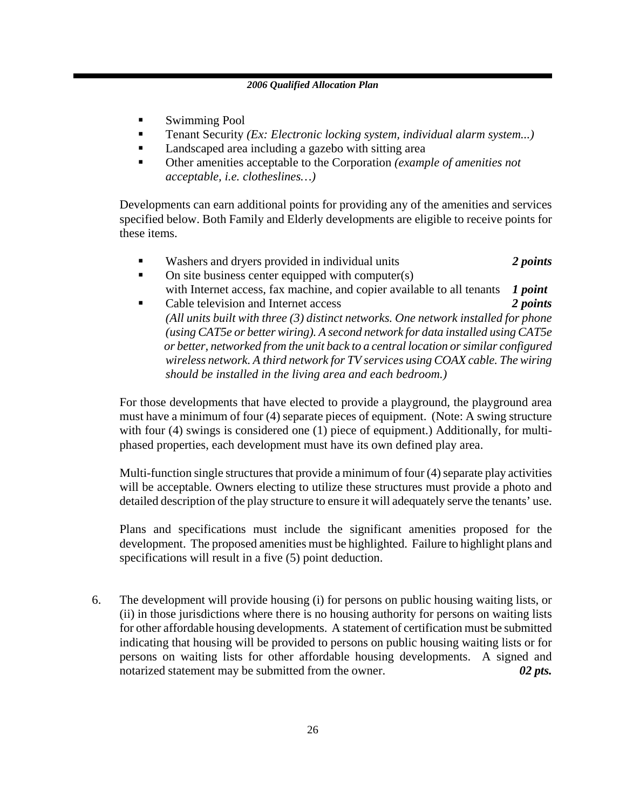- Swimming Pool
- Tenant Security *(Ex: Electronic locking system, individual alarm system...)*
- **Landscaped area including a gazebo with sitting area**
- Other amenities acceptable to the Corporation *(example of amenities not acceptable, i.e. clotheslines…)*

Developments can earn additional points for providing any of the amenities and services specified below. Both Family and Elderly developments are eligible to receive points for these items.

- Washers and dryers provided in individual units *2 points*
- $\blacksquare$  On site business center equipped with computer(s) with Internet access, fax machine, and copier available to all tenants *1 point*
- Cable television and Internet access *2 points (All units built with three (3) distinct networks. One network installed for phone (using CAT5e or better wiring). A second network for data installed using CAT5e or better, networked from the unit back to a central location or similar configured wireless network. A third network for TV services using COAX cable. The wiring should be installed in the living area and each bedroom.)*

For those developments that have elected to provide a playground, the playground area must have a minimum of four (4) separate pieces of equipment. (Note: A swing structure with four (4) swings is considered one (1) piece of equipment.) Additionally, for multiphased properties, each development must have its own defined play area.

Multi-function single structures that provide a minimum of four (4) separate play activities will be acceptable. Owners electing to utilize these structures must provide a photo and detailed description of the play structure to ensure it will adequately serve the tenants' use.

Plans and specifications must include the significant amenities proposed for the development. The proposed amenities must be highlighted. Failure to highlight plans and specifications will result in a five (5) point deduction.

6. The development will provide housing (i) for persons on public housing waiting lists, or (ii) in those jurisdictions where there is no housing authority for persons on waiting lists for other affordable housing developments.A statement of certification must be submitted indicating that housing will be provided to persons on public housing waiting lists or for persons on waiting lists for other affordable housing developments. A signed and notarized statement may be submitted from the owner. 02 pts.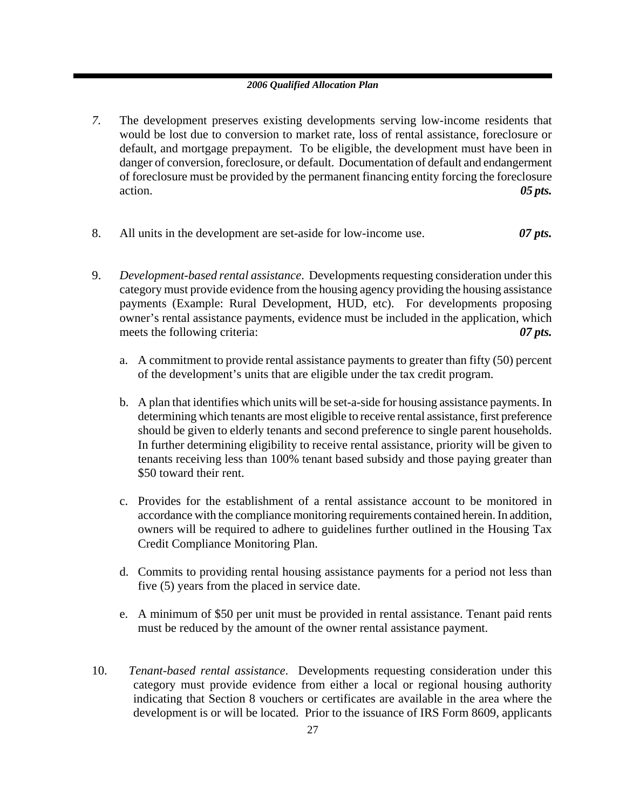- *7.* The development preserves existing developments serving low-income residents that would be lost due to conversion to market rate, loss of rental assistance, foreclosure or default, and mortgage prepayment. To be eligible, the development must have been in danger of conversion, foreclosure, or default. Documentation of default and endangerment of foreclosure must be provided by the permanent financing entity forcing the foreclosure action. *05 pts.*
- 8. All units in the development are set-aside for low-income use. *07 pts.*
- 9. *Development-based rental assistance*. Developments requesting consideration under this category must provide evidence from the housing agency providing the housing assistance payments (Example: Rural Development, HUD, etc). For developments proposing owner's rental assistance payments, evidence must be included in the application, which meets the following criteria:  $\theta$  *or pts.* 
	- a. A commitment to provide rental assistance payments to greater than fifty (50) percent of the development's units that are eligible under the tax credit program.
	- b. A plan that identifies which units will be set-a-side for housing assistance payments. In determining which tenants are most eligible to receive rental assistance, first preference should be given to elderly tenants and second preference to single parent households. In further determining eligibility to receive rental assistance, priority will be given to tenants receiving less than 100% tenant based subsidy and those paying greater than \$50 toward their rent.
	- c. Provides for the establishment of a rental assistance account to be monitored in accordance with the compliance monitoring requirements contained herein. In addition, owners will be required to adhere to guidelines further outlined in the Housing Tax Credit Compliance Monitoring Plan.
	- d. Commits to providing rental housing assistance payments for a period not less than five (5) years from the placed in service date.
	- e. A minimum of \$50 per unit must be provided in rental assistance. Tenant paid rents must be reduced by the amount of the owner rental assistance payment.
- 10. *Tenant-based rental assistance*. Developments requesting consideration under this category must provide evidence from either a local or regional housing authority indicating that Section 8 vouchers or certificates are available in the area where the development is or will be located. Prior to the issuance of IRS Form 8609, applicants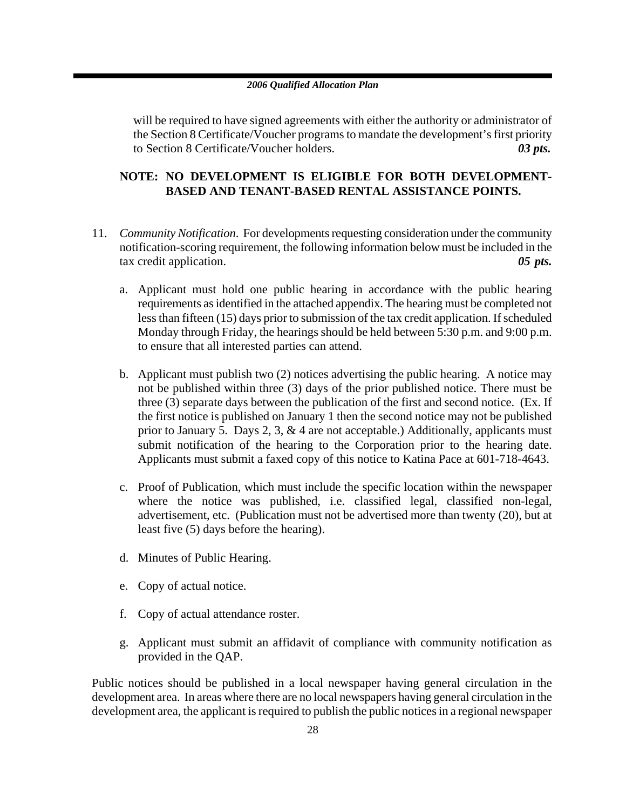will be required to have signed agreements with either the authority or administrator of the Section 8 Certificate/Voucher programs to mandate the development's first priority to Section 8 Certificate/Voucher holders. *03 pts.* 

### **NOTE: NO DEVELOPMENT IS ELIGIBLE FOR BOTH DEVELOPMENT-BASED AND TENANT-BASED RENTAL ASSISTANCE POINTS.**

- 11. *Community Notification*. For developments requesting consideration under the community notification-scoring requirement, the following information below must be included in the tax credit application. *05 pts.*
	- a. Applicant must hold one public hearing in accordance with the public hearing requirements as identified in the attached appendix. The hearing must be completed not less than fifteen (15) days prior to submission of the tax credit application. If scheduled Monday through Friday, the hearings should be held between 5:30 p.m. and 9:00 p.m. to ensure that all interested parties can attend.
	- b. Applicant must publish two (2) notices advertising the public hearing. A notice may not be published within three (3) days of the prior published notice. There must be three (3) separate days between the publication of the first and second notice. (Ex. If the first notice is published on January 1 then the second notice may not be published prior to January 5. Days 2, 3, & 4 are not acceptable.) Additionally, applicants must submit notification of the hearing to the Corporation prior to the hearing date. Applicants must submit a faxed copy of this notice to Katina Pace at 601-718-4643.
	- c. Proof of Publication, which must include the specific location within the newspaper where the notice was published, i.e. classified legal, classified non-legal, advertisement, etc. (Publication must not be advertised more than twenty (20), but at least five (5) days before the hearing).
	- d. Minutes of Public Hearing.
	- e. Copy of actual notice.
	- f. Copy of actual attendance roster.
	- g. Applicant must submit an affidavit of compliance with community notification as provided in the QAP.

Public notices should be published in a local newspaper having general circulation in the development area. In areas where there are no local newspapers having general circulation in the development area, the applicant is required to publish the public notices in a regional newspaper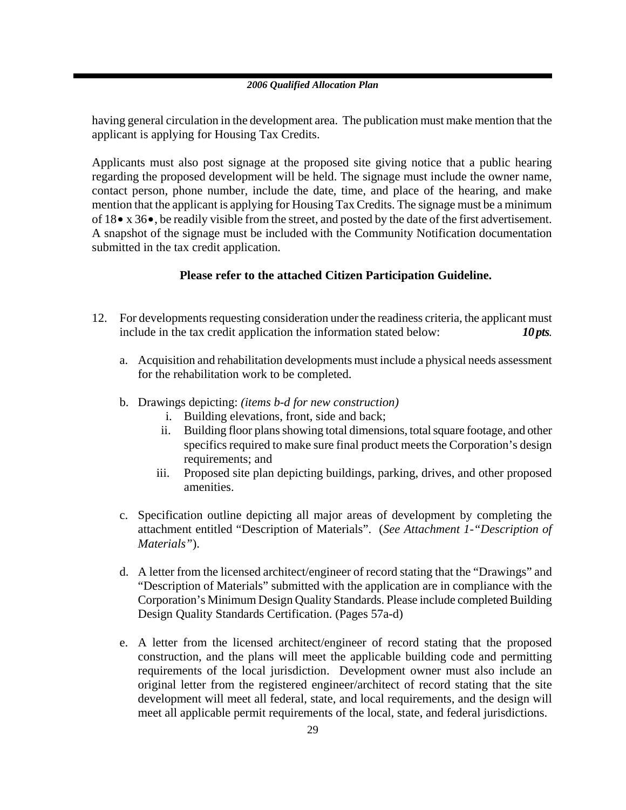having general circulation in the development area. The publication must make mention that the applicant is applying for Housing Tax Credits.

Applicants must also post signage at the proposed site giving notice that a public hearing regarding the proposed development will be held. The signage must include the owner name, contact person, phone number, include the date, time, and place of the hearing, and make mention that the applicant is applying for Housing Tax Credits. The signage must be a minimum of 18• x 36•, be readily visible from the street, and posted by the date of the first advertisement. A snapshot of the signage must be included with the Community Notification documentation submitted in the tax credit application.

### **Please refer to the attached Citizen Participation Guideline.**

- 12. For developments requesting consideration under the readiness criteria, the applicant must include in the tax credit application the information stated below: *10 pts.* 
	- a. Acquisition and rehabilitation developments must include a physical needs assessment for the rehabilitation work to be completed.
	- b. Drawings depicting: *(items b-d for new construction)*
		- i. Building elevations, front, side and back;
		- ii. Building floor plans showing total dimensions, total square footage, and other specifics required to make sure final product meets the Corporation's design requirements; and
		- iii. Proposed site plan depicting buildings, parking, drives, and other proposed amenities.
	- c. Specification outline depicting all major areas of development by completing the attachment entitled "Description of Materials". (*See Attachment 1-"Description of Materials"*).
	- d. A letter from the licensed architect/engineer of record stating that the "Drawings" and "Description of Materials" submitted with the application are in compliance with the Corporation's Minimum Design Quality Standards. Please include completed Building Design Quality Standards Certification. (Pages 57a-d)
	- e. A letter from the licensed architect/engineer of record stating that the proposed construction, and the plans will meet the applicable building code and permitting requirements of the local jurisdiction. Development owner must also include an original letter from the registered engineer/architect of record stating that the site development will meet all federal, state, and local requirements, and the design will meet all applicable permit requirements of the local, state, and federal jurisdictions.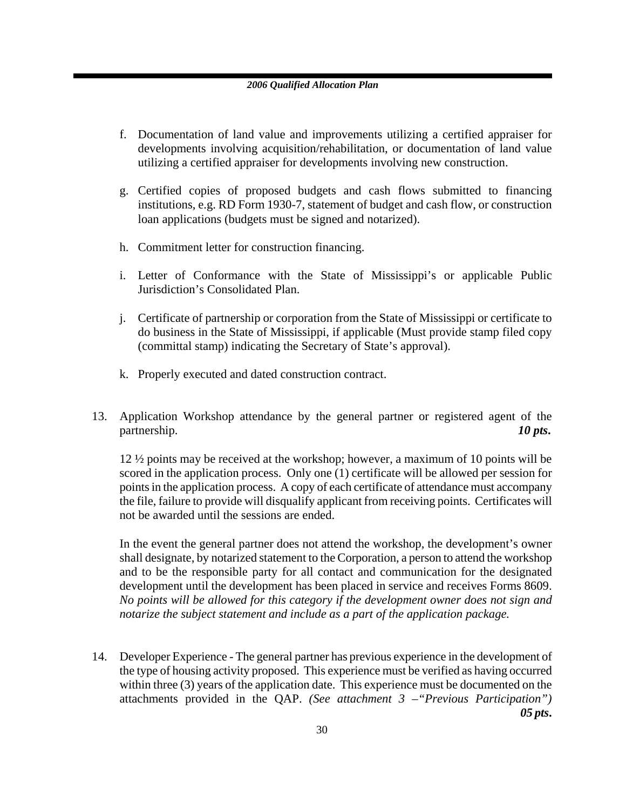- f. Documentation of land value and improvements utilizing a certified appraiser for developments involving acquisition/rehabilitation, or documentation of land value utilizing a certified appraiser for developments involving new construction.
- g. Certified copies of proposed budgets and cash flows submitted to financing institutions, e.g. RD Form 1930-7, statement of budget and cash flow, or construction loan applications (budgets must be signed and notarized).
- h. Commitment letter for construction financing.
- i. Letter of Conformance with the State of Mississippi's or applicable Public Jurisdiction's Consolidated Plan.
- j. Certificate of partnership or corporation from the State of Mississippi or certificate to do business in the State of Mississippi, if applicable (Must provide stamp filed copy (committal stamp) indicating the Secretary of State's approval).
- k. Properly executed and dated construction contract.
- 13. Application Workshop attendance by the general partner or registered agent of the partnership. *10 pts*.

12 ½ points may be received at the workshop; however, a maximum of 10 points will be scored in the application process. Only one (1) certificate will be allowed per session for points in the application process. A copy of each certificate of attendance must accompany the file, failure to provide will disqualify applicant from receiving points. Certificates will not be awarded until the sessions are ended.

In the event the general partner does not attend the workshop, the development's owner shall designate, by notarized statement to the Corporation, a person to attend the workshop and to be the responsible party for all contact and communication for the designated development until the development has been placed in service and receives Forms 8609. *No points will be allowed for this category if the development owner does not sign and notarize the subject statement and include as a part of the application package.* 

14. Developer Experience - The general partner has previous experience in the development of the type of housing activity proposed. This experience must be verified as having occurred within three (3) years of the application date. This experience must be documented on the attachments provided in the QAP. *(See attachment 3 –"Previous Participation") 05 pts***.**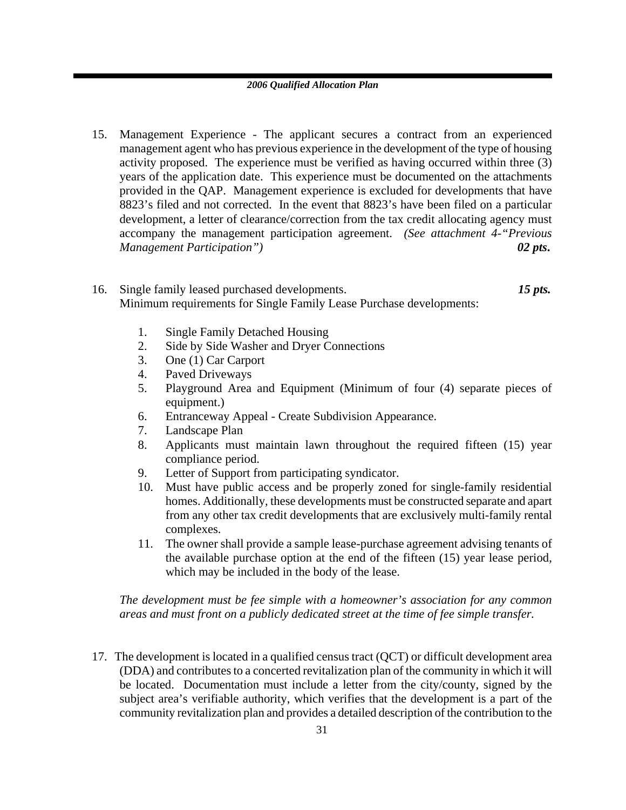- 15. Management Experience The applicant secures a contract from an experienced management agent who has previous experience in the development of the type of housing activity proposed. The experience must be verified as having occurred within three (3) years of the application date. This experience must be documented on the attachments provided in the QAP. Management experience is excluded for developments that have 8823's filed and not corrected. In the event that 8823's have been filed on a particular development, a letter of clearance/correction from the tax credit allocating agency must accompany the management participation agreement. *(See attachment 4-"Previous Management Participation") 02 pts***.**
- 16. Single family leased purchased developments. *15 pts.* Minimum requirements for Single Family Lease Purchase developments:
	- 1. Single Family Detached Housing
	- 2. Side by Side Washer and Dryer Connections
	- 3. One (1) Car Carport
	- 4. Paved Driveways
	- 5. Playground Area and Equipment (Minimum of four (4) separate pieces of equipment.)
	- 6. Entranceway Appeal Create Subdivision Appearance.
	- 7. Landscape Plan
	- 8. Applicants must maintain lawn throughout the required fifteen (15) year compliance period.
	- 9. Letter of Support from participating syndicator.
	- 10. Must have public access and be properly zoned for single-family residential homes. Additionally, these developments must be constructed separate and apart from any other tax credit developments that are exclusively multi-family rental complexes.
	- 11. The owner shall provide a sample lease-purchase agreement advising tenants of the available purchase option at the end of the fifteen (15) year lease period, which may be included in the body of the lease.

*The development must be fee simple with a homeowner's association for any common areas and must front on a publicly dedicated street at the time of fee simple transfer.* 

17. The development is located in a qualified census tract (QCT) or difficult development area (DDA) and contributes to a concerted revitalization plan of the community in which it will be located. Documentation must include a letter from the city/county, signed by the subject area's verifiable authority, which verifies that the development is a part of the community revitalization plan and provides a detailed description of the contribution to the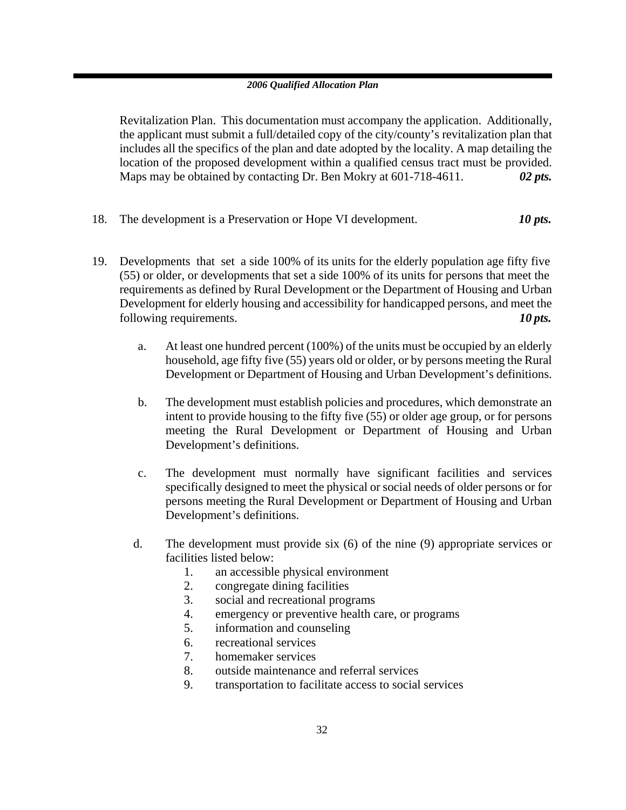Revitalization Plan. This documentation must accompany the application. Additionally, the applicant must submit a full/detailed copy of the city/county's revitalization plan that includes all the specifics of the plan and date adopted by the locality. A map detailing the location of the proposed development within a qualified census tract must be provided. Maps may be obtained by contacting Dr. Ben Mokry at 601-718-4611. *02 pts.*

- 18. The development is a Preservation or Hope VI development. *10 pts.*
- 19. Developments that set a side 100% of its units for the elderly population age fifty five (55) or older, or developments that set a side 100% of its units for persons that meet the requirements as defined by Rural Development or the Department of Housing and Urban Development for elderly housing and accessibility for handicapped persons, and meet the following requirements. *10 pts.*
	- a. At least one hundred percent (100%) of the units must be occupied by an elderly household, age fifty five (55) years old or older, or by persons meeting the Rural Development or Department of Housing and Urban Development's definitions.
	- b. The development must establish policies and procedures, which demonstrate an intent to provide housing to the fifty five (55) or older age group, or for persons meeting the Rural Development or Department of Housing and Urban Development's definitions.
	- c. The development must normally have significant facilities and services specifically designed to meet the physical or social needs of older persons or for persons meeting the Rural Development or Department of Housing and Urban Development's definitions.
	- d. The development must provide six (6) of the nine (9) appropriate services or facilities listed below:
		- 1. an accessible physical environment
		- 2. congregate dining facilities
		- 3. social and recreational programs
		- 4. emergency or preventive health care, or programs
		- 5. information and counseling
		- 6. recreational services
		- 7. homemaker services
		- 8. outside maintenance and referral services
		- 9. transportation to facilitate access to social services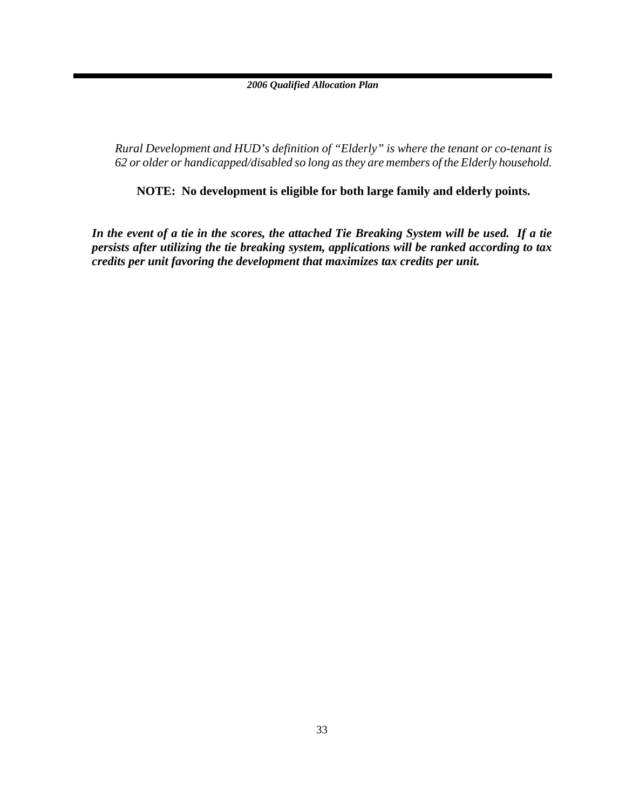*Rural Development and HUD's definition of "Elderly" is where the tenant or co-tenant is 62 or older or handicapped/disabled so long as they are members of the Elderly household.* 

**NOTE: No development is eligible for both large family and elderly points.** 

*In the event of a tie in the scores, the attached Tie Breaking System will be used. If a tie persists after utilizing the tie breaking system, applications will be ranked according to tax credits per unit favoring the development that maximizes tax credits per unit.*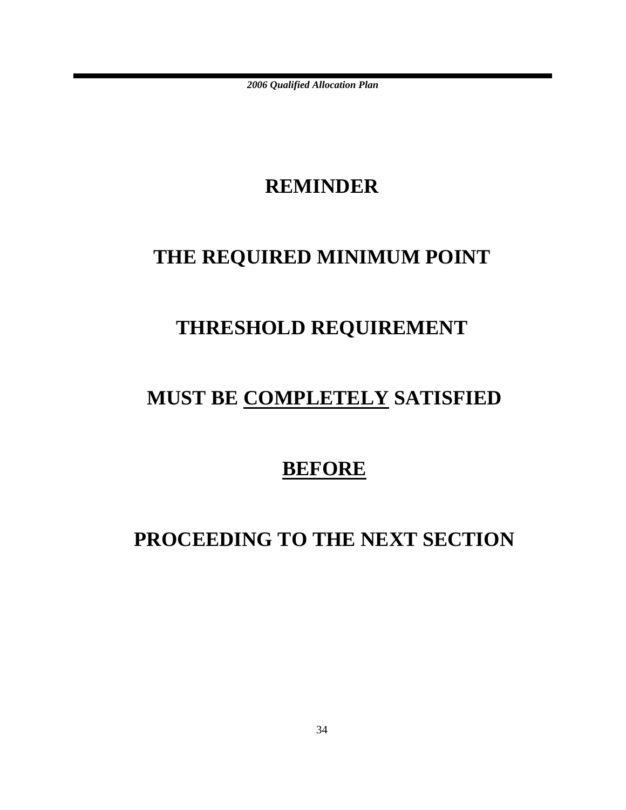### **REMINDER**

# **THE REQUIRED MINIMUM POINT**

# **THRESHOLD REQUIREMENT**

# **MUST BE COMPLETELY SATISFIED**

### **BEFORE**

# **PROCEEDING TO THE NEXT SECTION**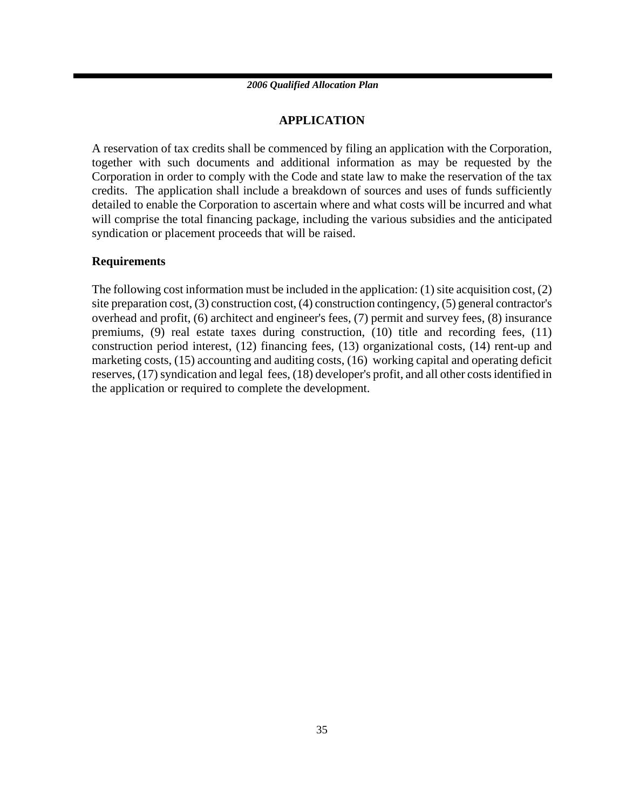### **APPLICATION**

A reservation of tax credits shall be commenced by filing an application with the Corporation, together with such documents and additional information as may be requested by the Corporation in order to comply with the Code and state law to make the reservation of the tax credits. The application shall include a breakdown of sources and uses of funds sufficiently detailed to enable the Corporation to ascertain where and what costs will be incurred and what will comprise the total financing package, including the various subsidies and the anticipated syndication or placement proceeds that will be raised.

### **Requirements**

The following cost information must be included in the application: (1) site acquisition cost, (2) site preparation cost, (3) construction cost, (4) construction contingency, (5) general contractor's overhead and profit, (6) architect and engineer's fees, (7) permit and survey fees, (8) insurance premiums, (9) real estate taxes during construction, (10) title and recording fees, (11) construction period interest, (12) financing fees, (13) organizational costs, (14) rent-up and marketing costs, (15) accounting and auditing costs, (16) working capital and operating deficit reserves, (17) syndication and legal fees, (18) developer's profit, and all other costs identified in the application or required to complete the development.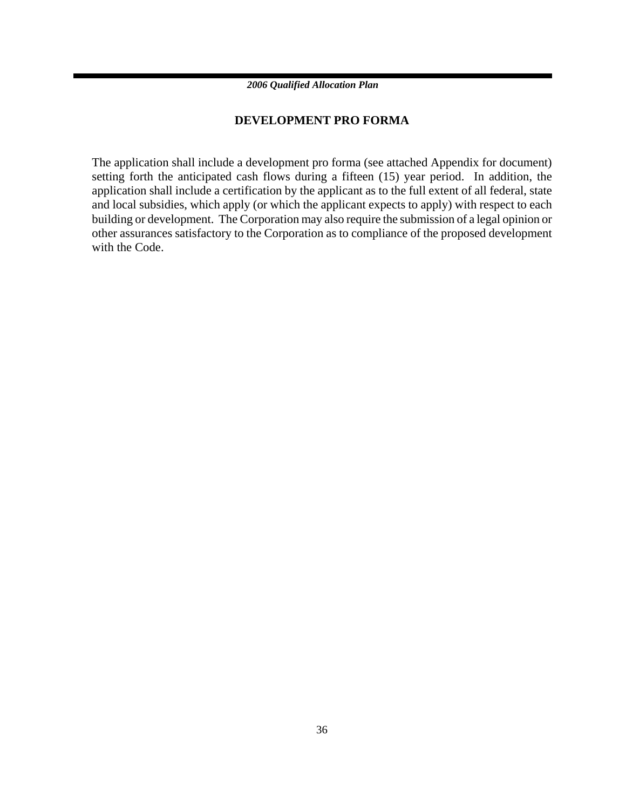### **DEVELOPMENT PRO FORMA**

The application shall include a development pro forma (see attached Appendix for document) setting forth the anticipated cash flows during a fifteen (15) year period. In addition, the application shall include a certification by the applicant as to the full extent of all federal, state and local subsidies, which apply (or which the applicant expects to apply) with respect to each building or development. The Corporation may also require the submission of a legal opinion or other assurances satisfactory to the Corporation as to compliance of the proposed development with the Code.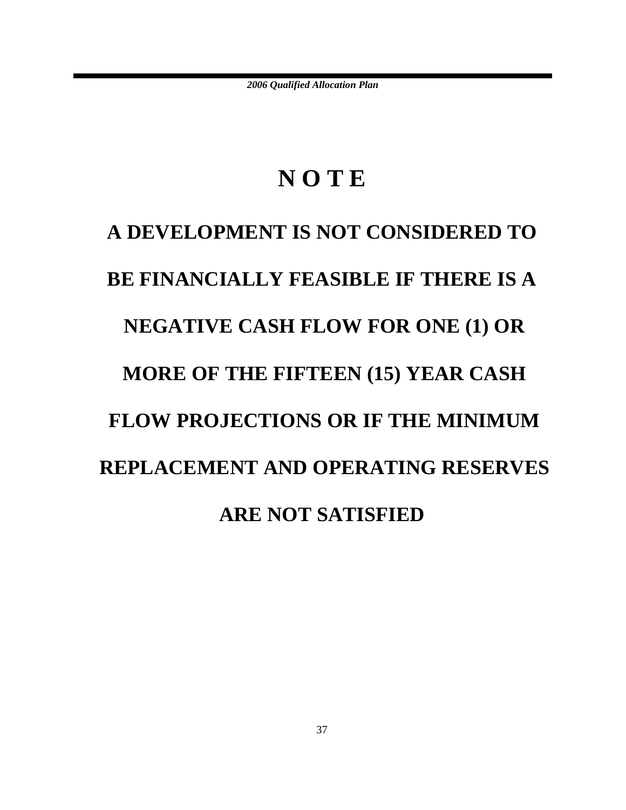# **N O T E**

# **A DEVELOPMENT IS NOT CONSIDERED TO BE FINANCIALLY FEASIBLE IF THERE IS A NEGATIVE CASH FLOW FOR ONE (1) OR MORE OF THE FIFTEEN (15) YEAR CASH FLOW PROJECTIONS OR IF THE MINIMUM REPLACEMENT AND OPERATING RESERVES ARE NOT SATISFIED**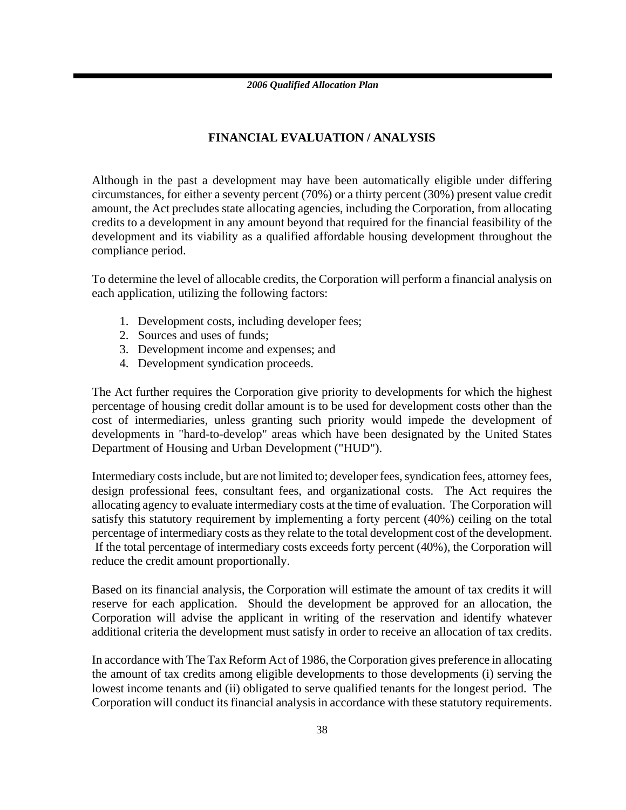### **FINANCIAL EVALUATION / ANALYSIS**

Although in the past a development may have been automatically eligible under differing circumstances, for either a seventy percent (70%) or a thirty percent (30%) present value credit amount, the Act precludes state allocating agencies, including the Corporation, from allocating credits to a development in any amount beyond that required for the financial feasibility of the development and its viability as a qualified affordable housing development throughout the compliance period.

To determine the level of allocable credits, the Corporation will perform a financial analysis on each application, utilizing the following factors:

- 1. Development costs, including developer fees;
- 2. Sources and uses of funds;
- 3. Development income and expenses; and
- 4. Development syndication proceeds.

The Act further requires the Corporation give priority to developments for which the highest percentage of housing credit dollar amount is to be used for development costs other than the cost of intermediaries, unless granting such priority would impede the development of developments in "hard-to-develop" areas which have been designated by the United States Department of Housing and Urban Development ("HUD").

Intermediary costs include, but are not limited to; developer fees, syndication fees, attorney fees, design professional fees, consultant fees, and organizational costs. The Act requires the allocating agency to evaluate intermediary costs at the time of evaluation. The Corporation will satisfy this statutory requirement by implementing a forty percent (40%) ceiling on the total percentage of intermediary costs as they relate to the total development cost of the development. If the total percentage of intermediary costs exceeds forty percent (40%), the Corporation will reduce the credit amount proportionally.

Based on its financial analysis, the Corporation will estimate the amount of tax credits it will reserve for each application. Should the development be approved for an allocation, the Corporation will advise the applicant in writing of the reservation and identify whatever additional criteria the development must satisfy in order to receive an allocation of tax credits.

In accordance with The Tax Reform Act of 1986, the Corporation gives preference in allocating the amount of tax credits among eligible developments to those developments (i) serving the lowest income tenants and (ii) obligated to serve qualified tenants for the longest period. The Corporation will conduct its financial analysis in accordance with these statutory requirements.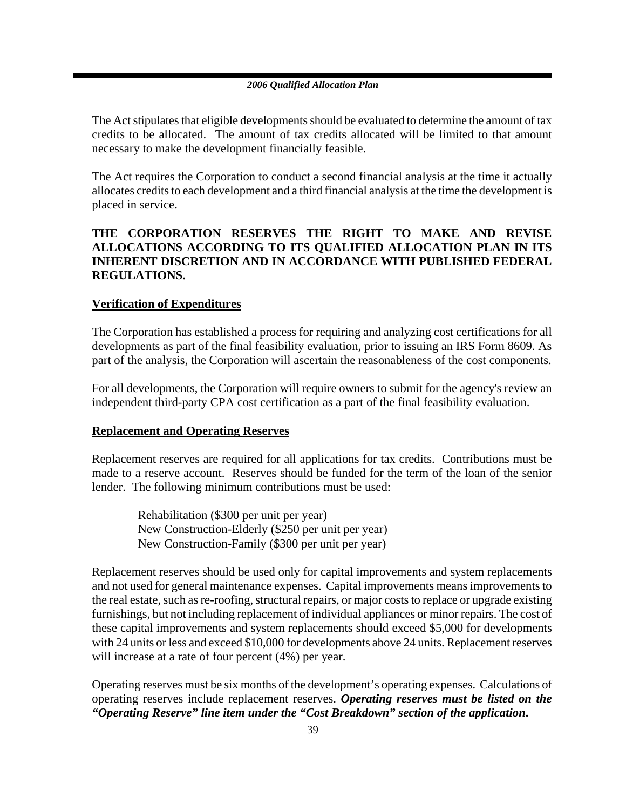The Act stipulates that eligible developments should be evaluated to determine the amount of tax credits to be allocated. The amount of tax credits allocated will be limited to that amount necessary to make the development financially feasible.

The Act requires the Corporation to conduct a second financial analysis at the time it actually allocates credits to each development and a third financial analysis at the time the development is placed in service.

### **THE CORPORATION RESERVES THE RIGHT TO MAKE AND REVISE ALLOCATIONS ACCORDING TO ITS QUALIFIED ALLOCATION PLAN IN ITS INHERENT DISCRETION AND IN ACCORDANCE WITH PUBLISHED FEDERAL REGULATIONS.**

### **Verification of Expenditures**

The Corporation has established a process for requiring and analyzing cost certifications for all developments as part of the final feasibility evaluation, prior to issuing an IRS Form 8609. As part of the analysis, the Corporation will ascertain the reasonableness of the cost components.

For all developments, the Corporation will require owners to submit for the agency's review an independent third-party CPA cost certification as a part of the final feasibility evaluation.

### **Replacement and Operating Reserves**

Replacement reserves are required for all applications for tax credits. Contributions must be made to a reserve account. Reserves should be funded for the term of the loan of the senior lender. The following minimum contributions must be used:

Rehabilitation (\$300 per unit per year) New Construction-Elderly (\$250 per unit per year) New Construction-Family (\$300 per unit per year)

Replacement reserves should be used only for capital improvements and system replacements and not used for general maintenance expenses. Capital improvements means improvements to the real estate, such as re-roofing, structural repairs, or major costs to replace or upgrade existing furnishings, but not including replacement of individual appliances or minor repairs. The cost of these capital improvements and system replacements should exceed \$5,000 for developments with 24 units or less and exceed \$10,000 for developments above 24 units. Replacement reserves will increase at a rate of four percent (4%) per year.

Operating reserves must be six months of the development's operating expenses. Calculations of operating reserves include replacement reserves. *Operating reserves must be listed on the "Operating Reserve" line item under the "Cost Breakdown" section of the application***.**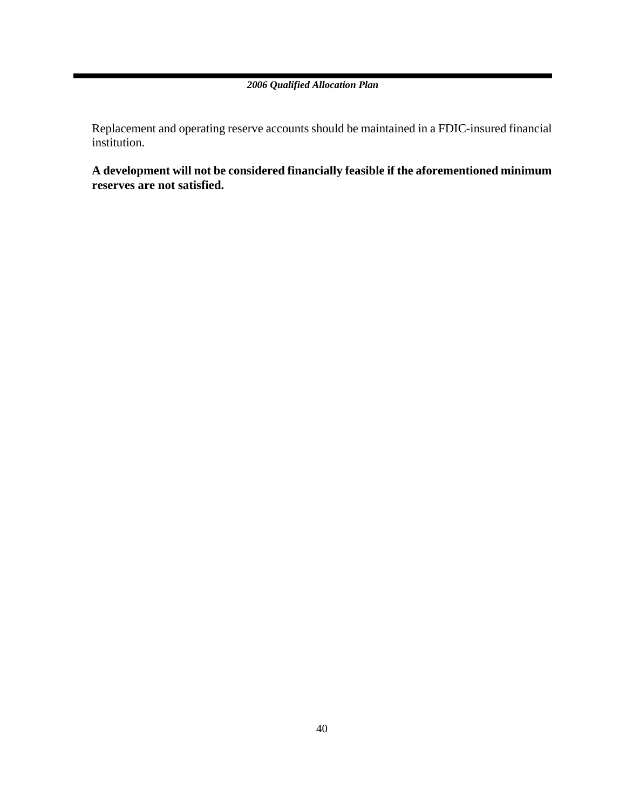Replacement and operating reserve accounts should be maintained in a FDIC-insured financial institution.

**A development will not be considered financially feasible if the aforementioned minimum reserves are not satisfied.**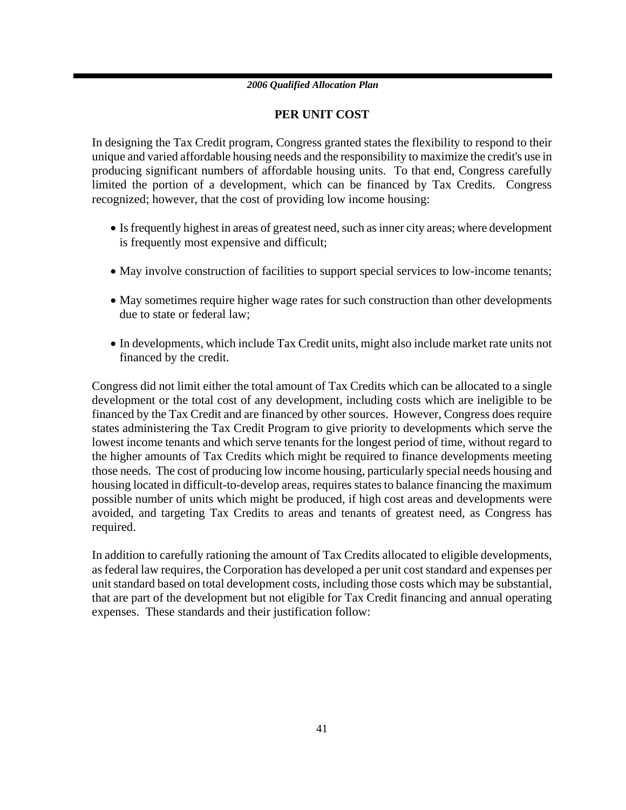### **PER UNIT COST**

In designing the Tax Credit program, Congress granted states the flexibility to respond to their unique and varied affordable housing needs and the responsibility to maximize the credit's use in producing significant numbers of affordable housing units. To that end, Congress carefully limited the portion of a development, which can be financed by Tax Credits. Congress recognized; however, that the cost of providing low income housing:

- Is frequently highest in areas of greatest need, such as inner city areas; where development is frequently most expensive and difficult;
- May involve construction of facilities to support special services to low-income tenants;
- May sometimes require higher wage rates for such construction than other developments due to state or federal law;
- In developments, which include Tax Credit units, might also include market rate units not financed by the credit.

Congress did not limit either the total amount of Tax Credits which can be allocated to a single development or the total cost of any development, including costs which are ineligible to be financed by the Tax Credit and are financed by other sources. However, Congress does require states administering the Tax Credit Program to give priority to developments which serve the lowest income tenants and which serve tenants for the longest period of time, without regard to the higher amounts of Tax Credits which might be required to finance developments meeting those needs. The cost of producing low income housing, particularly special needs housing and housing located in difficult-to-develop areas, requires states to balance financing the maximum possible number of units which might be produced, if high cost areas and developments were avoided, and targeting Tax Credits to areas and tenants of greatest need, as Congress has required.

In addition to carefully rationing the amount of Tax Credits allocated to eligible developments, as federal law requires, the Corporation has developed a per unit cost standard and expenses per unit standard based on total development costs, including those costs which may be substantial, that are part of the development but not eligible for Tax Credit financing and annual operating expenses. These standards and their justification follow: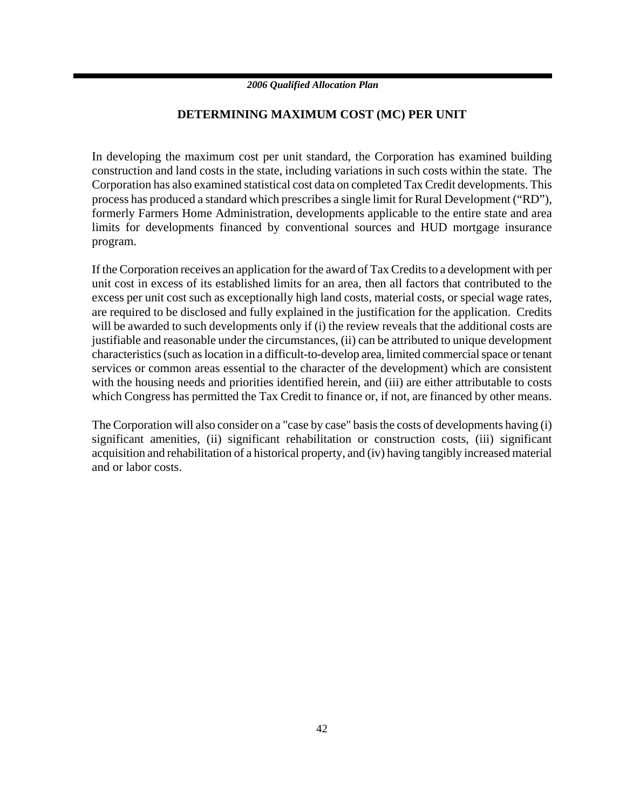### **DETERMINING MAXIMUM COST (MC) PER UNIT**

In developing the maximum cost per unit standard, the Corporation has examined building construction and land costs in the state, including variations in such costs within the state. The Corporation has also examined statistical cost data on completed Tax Credit developments. This process has produced a standard which prescribes a single limit for Rural Development ("RD"), formerly Farmers Home Administration, developments applicable to the entire state and area limits for developments financed by conventional sources and HUD mortgage insurance program.

If the Corporation receives an application for the award of Tax Credits to a development with per unit cost in excess of its established limits for an area, then all factors that contributed to the excess per unit cost such as exceptionally high land costs, material costs, or special wage rates, are required to be disclosed and fully explained in the justification for the application. Credits will be awarded to such developments only if (i) the review reveals that the additional costs are justifiable and reasonable under the circumstances, (ii) can be attributed to unique development characteristics (such as location in a difficult-to-develop area, limited commercial space or tenant services or common areas essential to the character of the development) which are consistent with the housing needs and priorities identified herein, and (iii) are either attributable to costs which Congress has permitted the Tax Credit to finance or, if not, are financed by other means.

The Corporation will also consider on a "case by case" basis the costs of developments having (i) significant amenities, (ii) significant rehabilitation or construction costs, (iii) significant acquisition and rehabilitation of a historical property, and (iv) having tangibly increased material and or labor costs.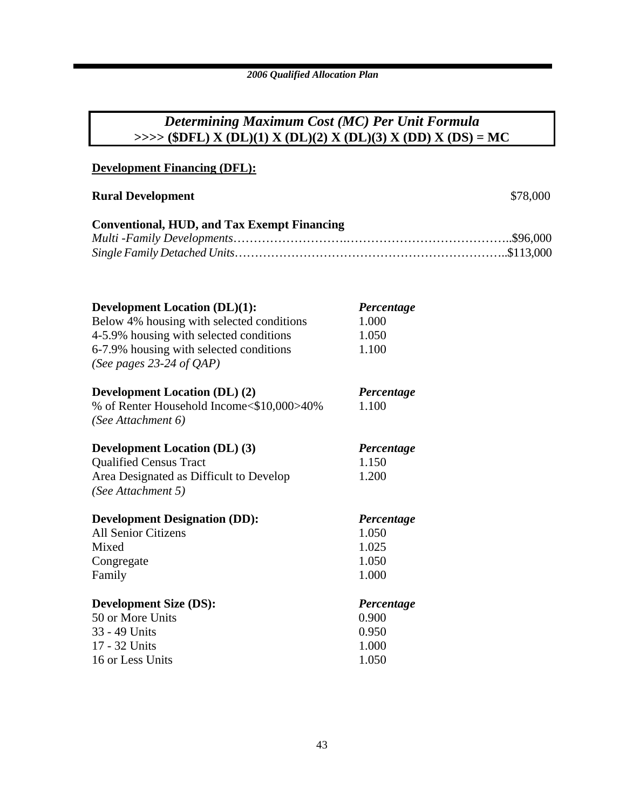### *Determining Maximum Cost (MC) Per Unit Formula* **>>>> (\$DFL) X (DL)(1) X (DL)(2) X (DL)(3) X (DD) X (DS) = MC**

### **Development Financing (DFL):**

### **Rural Development** \$78,000

| <b>Conventional, HUD, and Tax Exempt Financing</b> |  |
|----------------------------------------------------|--|
|                                                    |  |
|                                                    |  |

| <b>Development Location (DL)(1):</b><br>Below 4% housing with selected conditions<br>4-5.9% housing with selected conditions<br>6-7.9% housing with selected conditions<br>(See pages 23-24 of $QAP$ ) | Percentage<br>1.000<br>1.050<br>1.100          |
|--------------------------------------------------------------------------------------------------------------------------------------------------------------------------------------------------------|------------------------------------------------|
| <b>Development Location (DL) (2)</b><br>% of Renter Household Income<\$10,000>40%<br>(See Attachment 6)                                                                                                | Percentage<br>1.100                            |
| <b>Development Location (DL) (3)</b><br><b>Qualified Census Tract</b><br>Area Designated as Difficult to Develop<br>(See Attachment 5)                                                                 | Percentage<br>1.150<br>1.200                   |
| <b>Development Designation (DD):</b><br><b>All Senior Citizens</b><br>Mixed<br>Congregate<br>Family                                                                                                    | Percentage<br>1.050<br>1.025<br>1.050<br>1.000 |
| <b>Development Size (DS):</b><br>50 or More Units<br>33 - 49 Units<br>17 - 32 Units<br>16 or Less Units                                                                                                | Percentage<br>0.900<br>0.950<br>1.000<br>1.050 |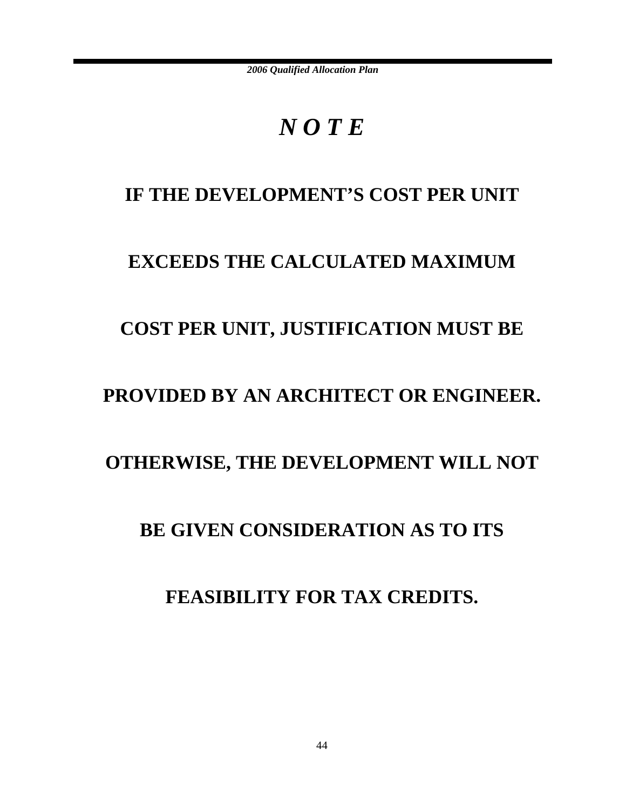# *N O T E*

### IF THE DEVELOPMENT'S COST PER UNIT

### **EXCEEDS THE CALCULATED MAXIMUM**

### **COST PER UNIT, JUSTIFICATION MUST BE**

### **PROVIDED BY AN ARCHITECT OR ENGINEER.**

### **OTHERWISE, THE DEVELOPMENT WILL NOT**

### **BE GIVEN CONSIDERATION AS TO ITS**

### **FEASIBILITY FOR TAX CREDITS.**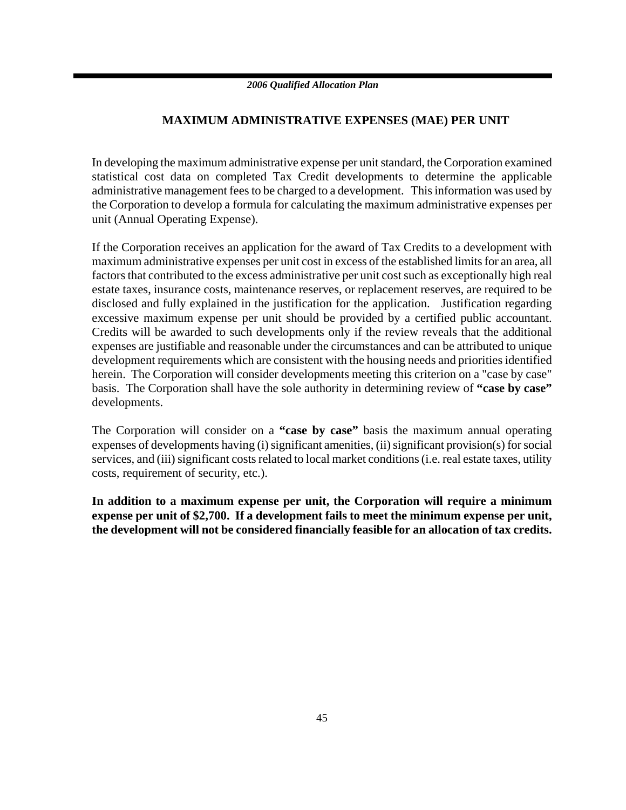### **MAXIMUM ADMINISTRATIVE EXPENSES (MAE) PER UNIT**

In developing the maximum administrative expense per unit standard, the Corporation examined statistical cost data on completed Tax Credit developments to determine the applicable administrative management fees to be charged to a development. This information was used by the Corporation to develop a formula for calculating the maximum administrative expenses per unit (Annual Operating Expense).

If the Corporation receives an application for the award of Tax Credits to a development with maximum administrative expenses per unit cost in excess of the established limits for an area, all factors that contributed to the excess administrative per unit cost such as exceptionally high real estate taxes, insurance costs, maintenance reserves, or replacement reserves, are required to be disclosed and fully explained in the justification for the application. Justification regarding excessive maximum expense per unit should be provided by a certified public accountant. Credits will be awarded to such developments only if the review reveals that the additional expenses are justifiable and reasonable under the circumstances and can be attributed to unique development requirements which are consistent with the housing needs and priorities identified herein. The Corporation will consider developments meeting this criterion on a "case by case" basis. The Corporation shall have the sole authority in determining review of **"case by case"** developments.

The Corporation will consider on a **"case by case"** basis the maximum annual operating expenses of developments having (i) significant amenities, (ii) significant provision(s) for social services, and (iii) significant costs related to local market conditions (i.e. real estate taxes, utility costs, requirement of security, etc.).

**In addition to a maximum expense per unit, the Corporation will require a minimum expense per unit of \$2,700. If a development fails to meet the minimum expense per unit, the development will not be considered financially feasible for an allocation of tax credits.**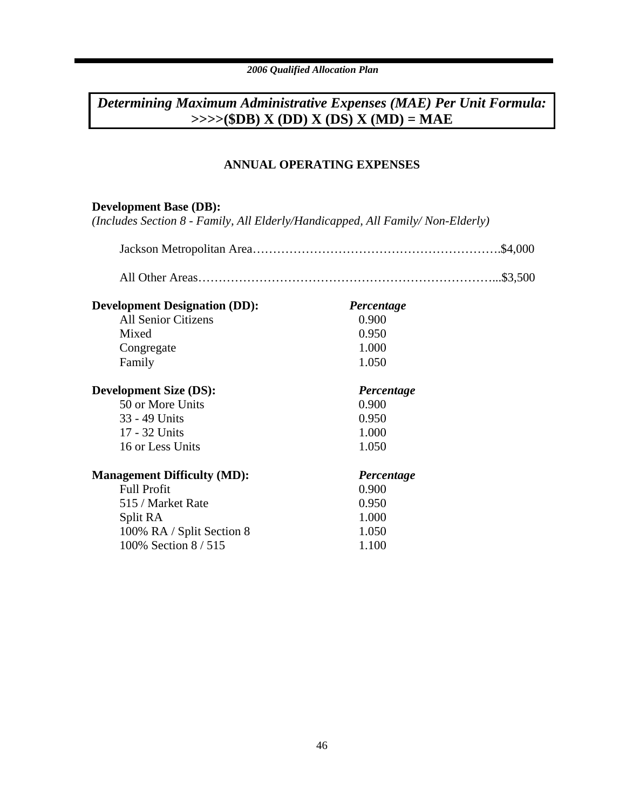### *Determining Maximum Administrative Expenses (MAE) Per Unit Formula:* **>>>>(\$DB) X (DD) X (DS) X (MD) = MAE**

### **ANNUAL OPERATING EXPENSES**

### **Development Base (DB):**

*(Includes Section 8 - Family, All Elderly/Handicapped, All Family/ Non-Elderly)*

| <b>Development Designation (DD):</b> | Percentage |  |
|--------------------------------------|------------|--|
| <b>All Senior Citizens</b>           | 0.900      |  |
| Mixed                                | 0.950      |  |
| Congregate                           | 1.000      |  |
| Family                               | 1.050      |  |
| <b>Development Size (DS):</b>        | Percentage |  |
| 50 or More Units                     | 0.900      |  |
| 33 - 49 Units                        | 0.950      |  |
| 17 - 32 Units                        | 1.000      |  |
| 16 or Less Units                     | 1.050      |  |
| <b>Management Difficulty (MD):</b>   | Percentage |  |

| <b>Full Profit</b>        | 0.900 |
|---------------------------|-------|
| 515 / Market Rate         | 0.950 |
| Split RA                  | 1.000 |
| 100% RA / Split Section 8 | 1.050 |
| 100% Section 8/515        | 1.100 |
|                           |       |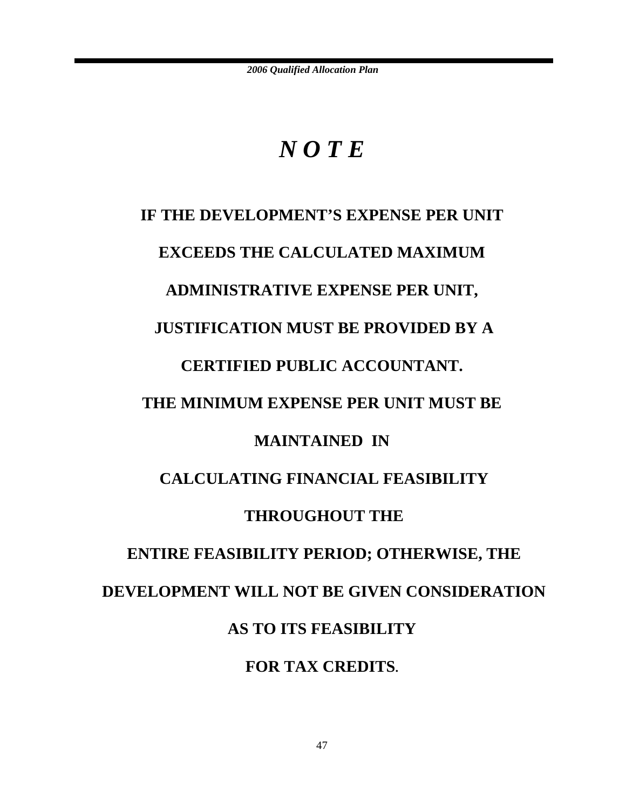# *N O T E*

# **IF THE DEVELOPMENT'S EXPENSE PER UNIT EXCEEDS THE CALCULATED MAXIMUM ADMINISTRATIVE EXPENSE PER UNIT, JUSTIFICATION MUST BE PROVIDED BY A CERTIFIED PUBLIC ACCOUNTANT. THE MINIMUM EXPENSE PER UNIT MUST BE MAINTAINED IN CALCULATING FINANCIAL FEASIBILITY THROUGHOUT THE ENTIRE FEASIBILITY PERIOD; OTHERWISE, THE DEVELOPMENT WILL NOT BE GIVEN CONSIDERATION AS TO ITS FEASIBILITY FOR TAX CREDITS.**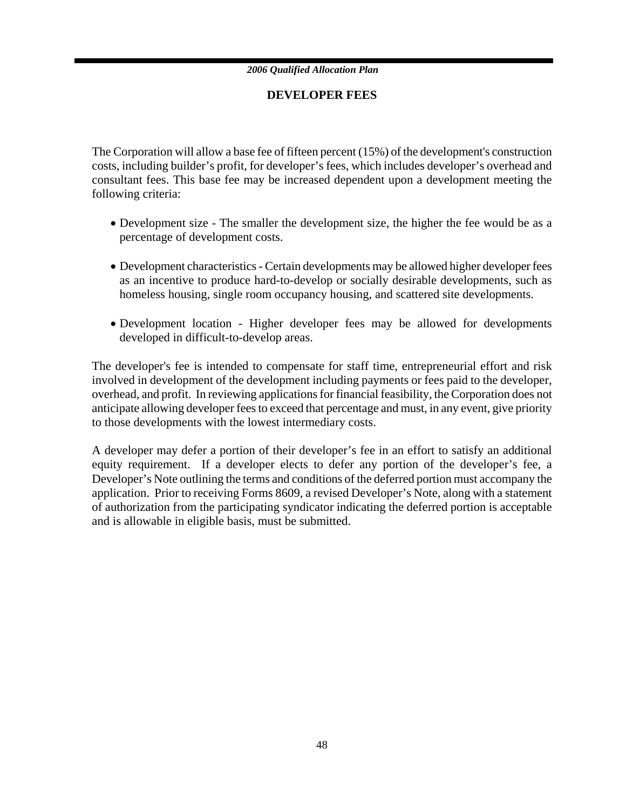### **DEVELOPER FEES**

The Corporation will allow a base fee of fifteen percent (15%) of the development's construction costs, including builder's profit, for developer's fees, which includes developer's overhead and consultant fees. This base fee may be increased dependent upon a development meeting the following criteria:

- Development size The smaller the development size, the higher the fee would be as a percentage of development costs.
- Development characteristics Certain developments may be allowed higher developer fees as an incentive to produce hard-to-develop or socially desirable developments, such as homeless housing, single room occupancy housing, and scattered site developments.
- Development location Higher developer fees may be allowed for developments developed in difficult-to-develop areas.

The developer's fee is intended to compensate for staff time, entrepreneurial effort and risk involved in development of the development including payments or fees paid to the developer, overhead, and profit. In reviewing applications for financial feasibility, the Corporation does not anticipate allowing developer fees to exceed that percentage and must, in any event, give priority to those developments with the lowest intermediary costs.

A developer may defer a portion of their developer's fee in an effort to satisfy an additional equity requirement. If a developer elects to defer any portion of the developer's fee, a Developer's Note outlining the terms and conditions of the deferred portion must accompany the application. Prior to receiving Forms 8609, a revised Developer's Note, along with a statement of authorization from the participating syndicator indicating the deferred portion is acceptable and is allowable in eligible basis, must be submitted.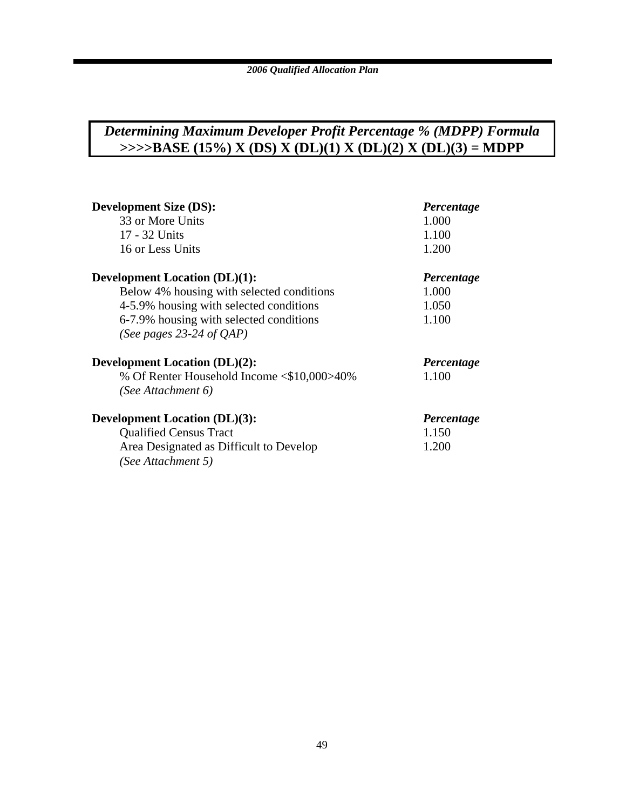### *Determining Maximum Developer Profit Percentage % (MDPP) Formula* **>>>>BASE (15%) X (DS) X (DL)(1) X (DL)(2) X (DL)(3) = MDPP**

| <b>Development Size (DS):</b>              | Percentage |
|--------------------------------------------|------------|
| 33 or More Units                           | 1.000      |
| 17 - 32 Units                              | 1.100      |
| 16 or Less Units                           | 1.200      |
| <b>Development Location (DL)(1):</b>       | Percentage |
| Below 4% housing with selected conditions  | 1.000      |
| 4-5.9% housing with selected conditions    | 1.050      |
| 6-7.9% housing with selected conditions    | 1.100      |
| (See pages 23-24 of $OAP$ )                |            |
| <b>Development Location (DL)(2):</b>       | Percentage |
| % Of Renter Household Income <\$10,000>40% | 1.100      |
| (See Attachment 6)                         |            |
| <b>Development Location (DL)(3):</b>       | Percentage |
| <b>Qualified Census Tract</b>              | 1.150      |
| Area Designated as Difficult to Develop    | 1.200      |
| (See Attachment 5)                         |            |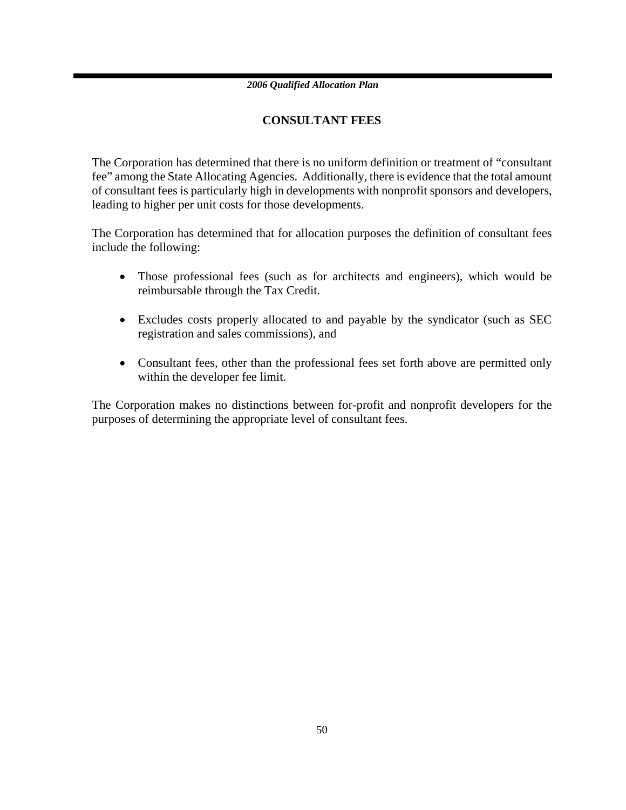### **CONSULTANT FEES**

The Corporation has determined that there is no uniform definition or treatment of "consultant fee" among the State Allocating Agencies. Additionally, there is evidence that the total amount of consultant fees is particularly high in developments with nonprofit sponsors and developers, leading to higher per unit costs for those developments.

The Corporation has determined that for allocation purposes the definition of consultant fees include the following:

- Those professional fees (such as for architects and engineers), which would be reimbursable through the Tax Credit.
- Excludes costs properly allocated to and payable by the syndicator (such as SEC registration and sales commissions), and
- Consultant fees, other than the professional fees set forth above are permitted only within the developer fee limit.

The Corporation makes no distinctions between for-profit and nonprofit developers for the purposes of determining the appropriate level of consultant fees.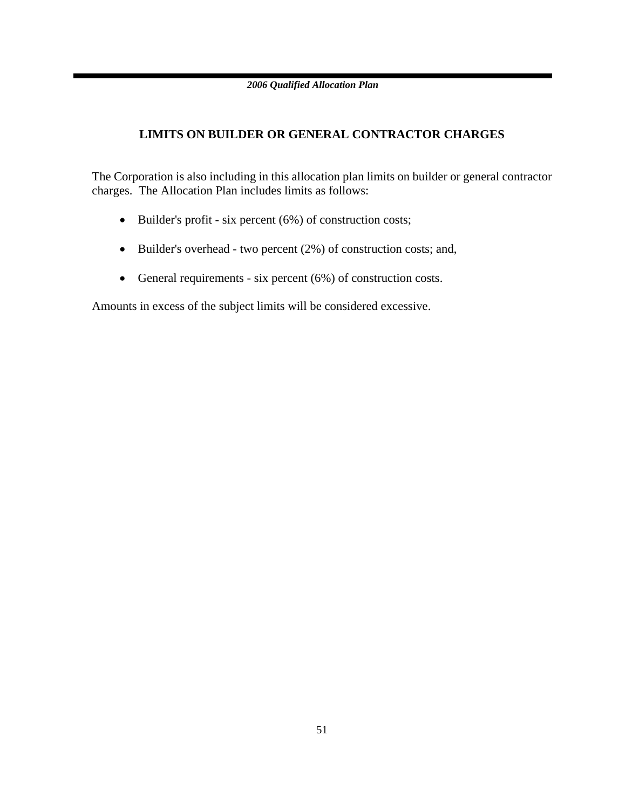### **LIMITS ON BUILDER OR GENERAL CONTRACTOR CHARGES**

The Corporation is also including in this allocation plan limits on builder or general contractor charges. The Allocation Plan includes limits as follows:

- Builder's profit six percent (6%) of construction costs;
- Builder's overhead two percent (2%) of construction costs; and,
- General requirements six percent (6%) of construction costs.

Amounts in excess of the subject limits will be considered excessive.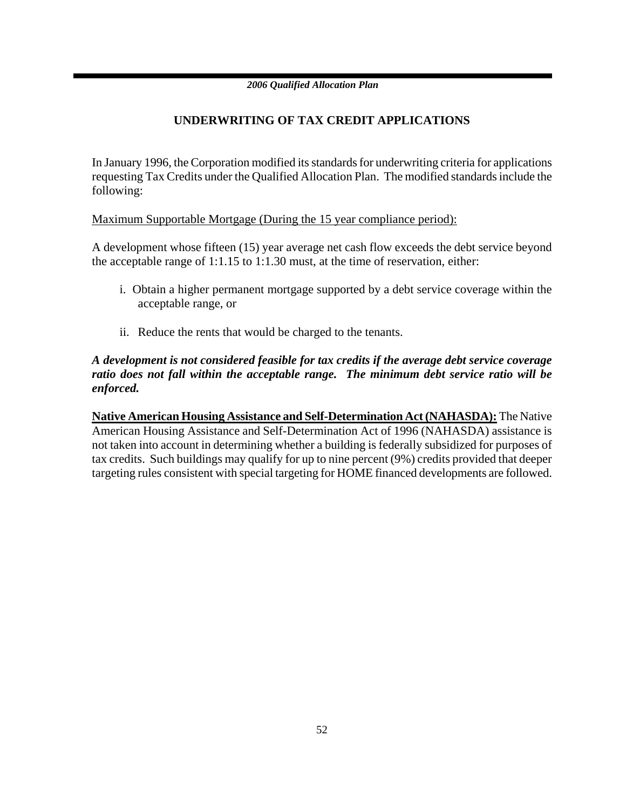### **UNDERWRITING OF TAX CREDIT APPLICATIONS**

In January 1996, the Corporation modified its standards for underwriting criteria for applications requesting Tax Credits under the Qualified Allocation Plan. The modified standards include the following:

Maximum Supportable Mortgage (During the 15 year compliance period):

A development whose fifteen (15) year average net cash flow exceeds the debt service beyond the acceptable range of 1:1.15 to 1:1.30 must, at the time of reservation, either:

- i. Obtain a higher permanent mortgage supported by a debt service coverage within the acceptable range, or
- ii. Reduce the rents that would be charged to the tenants.

### *A development is not considered feasible for tax credits if the average debt service coverage ratio does not fall within the acceptable range.**The minimum debt service ratio will be enforced.*

**Native American Housing Assistance and Self-Determination Act (NAHASDA):** The Native American Housing Assistance and Self-Determination Act of 1996 (NAHASDA) assistance is not taken into account in determining whether a building is federally subsidized for purposes of tax credits. Such buildings may qualify for up to nine percent (9%) credits provided that deeper targeting rules consistent with special targeting for HOME financed developments are followed.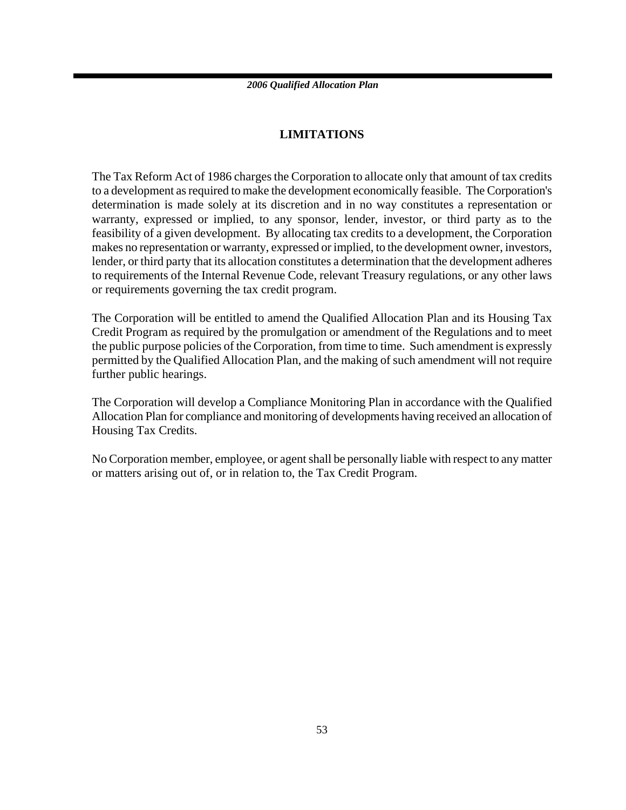### **LIMITATIONS**

The Tax Reform Act of 1986 charges the Corporation to allocate only that amount of tax credits to a development as required to make the development economically feasible. The Corporation's determination is made solely at its discretion and in no way constitutes a representation or warranty, expressed or implied, to any sponsor, lender, investor, or third party as to the feasibility of a given development. By allocating tax credits to a development, the Corporation makes no representation or warranty, expressed or implied, to the development owner, investors, lender, or third party that its allocation constitutes a determination that the development adheres to requirements of the Internal Revenue Code, relevant Treasury regulations, or any other laws or requirements governing the tax credit program.

The Corporation will be entitled to amend the Qualified Allocation Plan and its Housing Tax Credit Program as required by the promulgation or amendment of the Regulations and to meet the public purpose policies of the Corporation, from time to time. Such amendment is expressly permitted by the Qualified Allocation Plan, and the making of such amendment will not require further public hearings.

The Corporation will develop a Compliance Monitoring Plan in accordance with the Qualified Allocation Plan for compliance and monitoring of developments having received an allocation of Housing Tax Credits.

No Corporation member, employee, or agent shall be personally liable with respect to any matter or matters arising out of, or in relation to, the Tax Credit Program.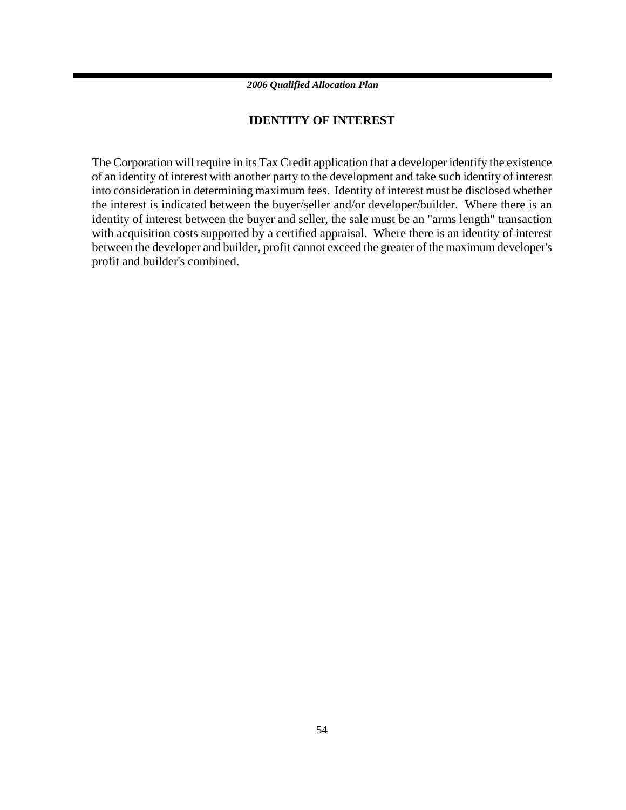### **IDENTITY OF INTEREST**

The Corporation will require in its Tax Credit application that a developer identify the existence of an identity of interest with another party to the development and take such identity of interest into consideration in determining maximum fees. Identity of interest must be disclosed whether the interest is indicated between the buyer/seller and/or developer/builder. Where there is an identity of interest between the buyer and seller, the sale must be an "arms length" transaction with acquisition costs supported by a certified appraisal. Where there is an identity of interest between the developer and builder, profit cannot exceed the greater of the maximum developer's profit and builder's combined.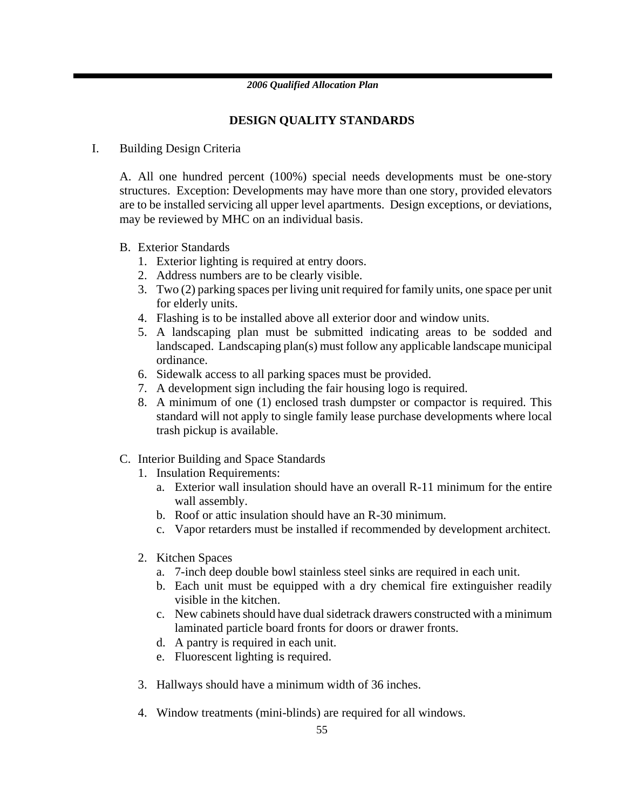### **DESIGN QUALITY STANDARDS**

### I. Building Design Criteria

A. All one hundred percent (100%) special needs developments must be one-story structures. Exception: Developments may have more than one story, provided elevators are to be installed servicing all upper level apartments. Design exceptions, or deviations, may be reviewed by MHC on an individual basis.

- B. Exterior Standards
	- 1. Exterior lighting is required at entry doors.
	- 2. Address numbers are to be clearly visible.
	- 3. Two (2) parking spaces per living unit required for family units, one space per unit for elderly units.
	- 4. Flashing is to be installed above all exterior door and window units.
	- 5. A landscaping plan must be submitted indicating areas to be sodded and landscaped. Landscaping plan(s) must follow any applicable landscape municipal ordinance.
	- 6. Sidewalk access to all parking spaces must be provided.
	- 7. A development sign including the fair housing logo is required.
	- 8. A minimum of one (1) enclosed trash dumpster or compactor is required. This standard will not apply to single family lease purchase developments where local trash pickup is available.
- C. Interior Building and Space Standards
	- 1. Insulation Requirements:
		- a. Exterior wall insulation should have an overall R-11 minimum for the entire wall assembly.
		- b. Roof or attic insulation should have an R-30 minimum.
		- c. Vapor retarders must be installed if recommended by development architect.
	- 2. Kitchen Spaces
		- a. 7-inch deep double bowl stainless steel sinks are required in each unit.
		- b. Each unit must be equipped with a dry chemical fire extinguisher readily visible in the kitchen.
		- c. New cabinets should have dual sidetrack drawers constructed with a minimum laminated particle board fronts for doors or drawer fronts.
		- d. A pantry is required in each unit.
		- e. Fluorescent lighting is required.
	- 3. Hallways should have a minimum width of 36 inches.
	- 4. Window treatments (mini-blinds) are required for all windows.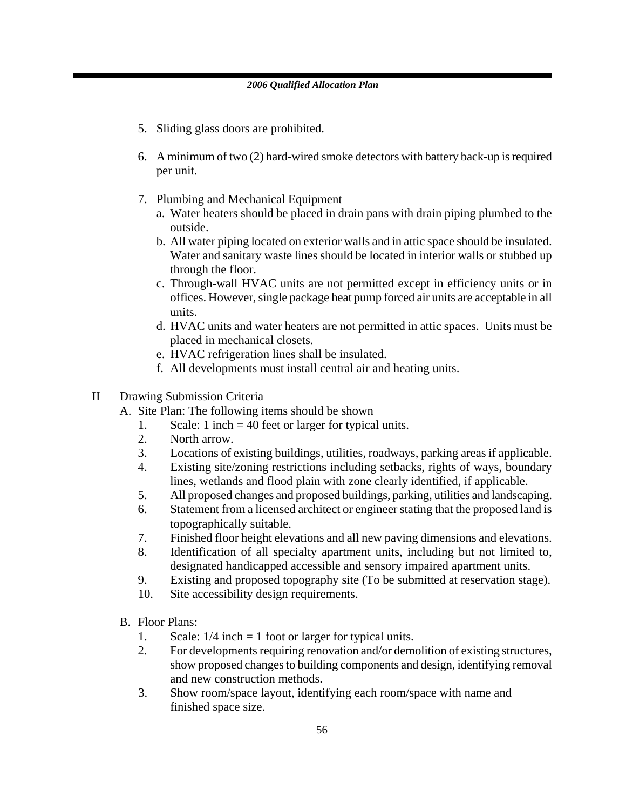- 5. Sliding glass doors are prohibited.
- 6. A minimum of two (2) hard-wired smoke detectors with battery back-up is required per unit.
- 7. Plumbing and Mechanical Equipment
	- a. Water heaters should be placed in drain pans with drain piping plumbed to the outside.
	- b. All water piping located on exterior walls and in attic space should be insulated. Water and sanitary waste lines should be located in interior walls or stubbed up through the floor.
	- c. Through-wall HVAC units are not permitted except in efficiency units or in offices. However, single package heat pump forced air units are acceptable in all units.
	- d. HVAC units and water heaters are not permitted in attic spaces. Units must be placed in mechanical closets.
	- e. HVAC refrigeration lines shall be insulated.
	- f. All developments must install central air and heating units.
- II Drawing Submission Criteria
	- A. Site Plan: The following items should be shown
		- 1. Scale: 1 inch = 40 feet or larger for typical units.
		- 2. North arrow.
		- 3. Locations of existing buildings, utilities, roadways, parking areas if applicable.
		- 4. Existing site/zoning restrictions including setbacks, rights of ways, boundary lines, wetlands and flood plain with zone clearly identified, if applicable.
		- 5. All proposed changes and proposed buildings, parking, utilities and landscaping.
		- 6. Statement from a licensed architect or engineer stating that the proposed land is topographically suitable.
		- 7. Finished floor height elevations and all new paving dimensions and elevations.
		- 8. Identification of all specialty apartment units, including but not limited to, designated handicapped accessible and sensory impaired apartment units.
		- 9. Existing and proposed topography site (To be submitted at reservation stage).
		- 10. Site accessibility design requirements.
	- B. Floor Plans:
		- 1. Scale:  $1/4$  inch = 1 foot or larger for typical units.
		- 2. For developments requiring renovation and/or demolition of existing structures, show proposed changes to building components and design, identifying removal and new construction methods.
		- 3. Show room/space layout, identifying each room/space with name and finished space size.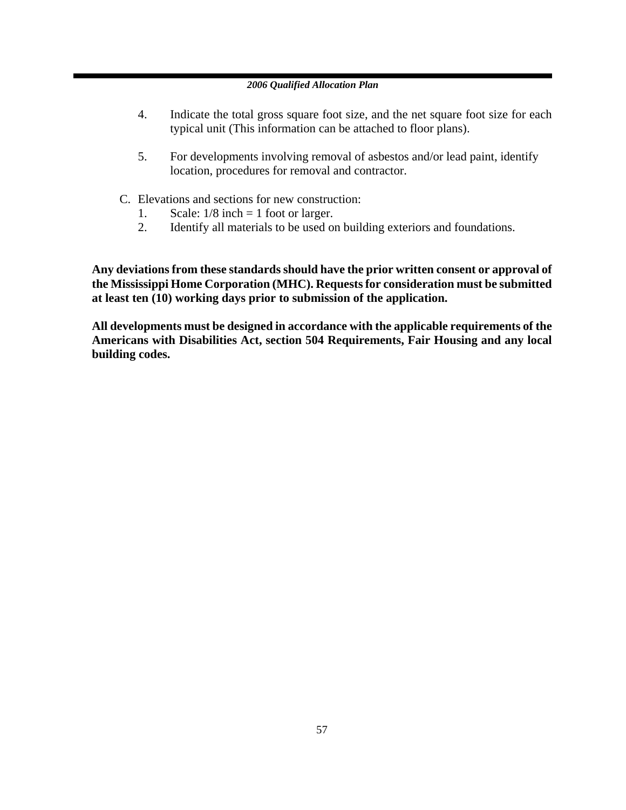- 4. Indicate the total gross square foot size, and the net square foot size for each typical unit (This information can be attached to floor plans).
- 5. For developments involving removal of asbestos and/or lead paint, identify location, procedures for removal and contractor.
- C. Elevations and sections for new construction:
	- 1. Scale:  $1/8$  inch = 1 foot or larger.
	- 2. Identify all materials to be used on building exteriors and foundations.

**Any deviations from these standards should have the prior written consent or approval of the Mississippi Home Corporation (MHC). Requests for consideration must be submitted at least ten (10) working days prior to submission of the application.** 

**All developments must be designed in accordance with the applicable requirements of the Americans with Disabilities Act, section 504 Requirements, Fair Housing and any local building codes.**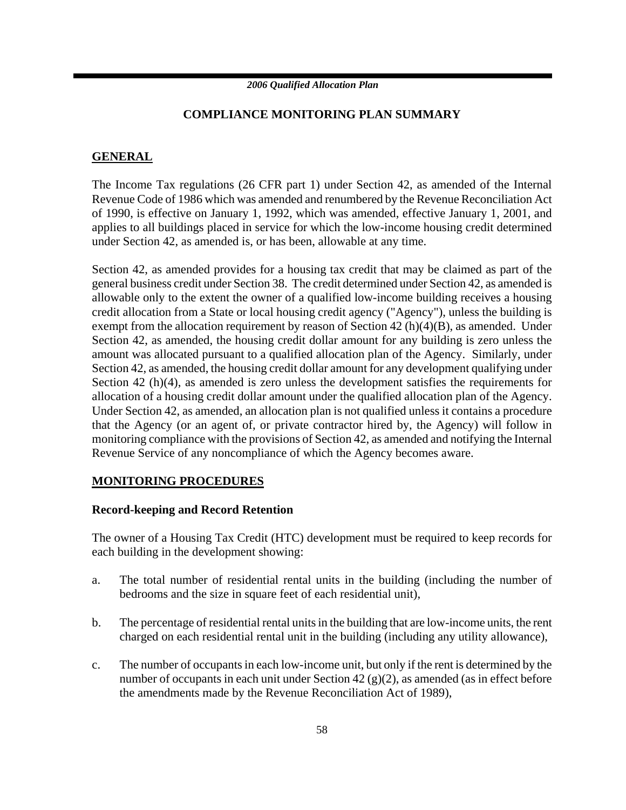### **COMPLIANCE MONITORING PLAN SUMMARY**

### **GENERAL**

The Income Tax regulations (26 CFR part 1) under Section 42, as amended of the Internal Revenue Code of 1986 which was amended and renumbered by the Revenue Reconciliation Act of 1990, is effective on January 1, 1992, which was amended, effective January 1, 2001, and applies to all buildings placed in service for which the low-income housing credit determined under Section 42, as amended is, or has been, allowable at any time.

Section 42, as amended provides for a housing tax credit that may be claimed as part of the general business credit under Section 38. The credit determined under Section 42, as amended is allowable only to the extent the owner of a qualified low-income building receives a housing credit allocation from a State or local housing credit agency ("Agency"), unless the building is exempt from the allocation requirement by reason of Section 42 (h)(4)(B), as amended. Under Section 42, as amended, the housing credit dollar amount for any building is zero unless the amount was allocated pursuant to a qualified allocation plan of the Agency. Similarly, under Section 42, as amended, the housing credit dollar amount for any development qualifying under Section 42 (h)(4), as amended is zero unless the development satisfies the requirements for allocation of a housing credit dollar amount under the qualified allocation plan of the Agency. Under Section 42, as amended, an allocation plan is not qualified unless it contains a procedure that the Agency (or an agent of, or private contractor hired by, the Agency) will follow in monitoring compliance with the provisions of Section 42, as amended and notifying the Internal Revenue Service of any noncompliance of which the Agency becomes aware.

### **MONITORING PROCEDURES**

### **Record-keeping and Record Retention**

The owner of a Housing Tax Credit (HTC) development must be required to keep records for each building in the development showing:

- a. The total number of residential rental units in the building (including the number of bedrooms and the size in square feet of each residential unit),
- b. The percentage of residential rental units in the building that are low-income units, the rent charged on each residential rental unit in the building (including any utility allowance),
- c. The number of occupants in each low-income unit, but only if the rent is determined by the number of occupants in each unit under Section 42 (g)(2), as amended (as in effect before the amendments made by the Revenue Reconciliation Act of 1989),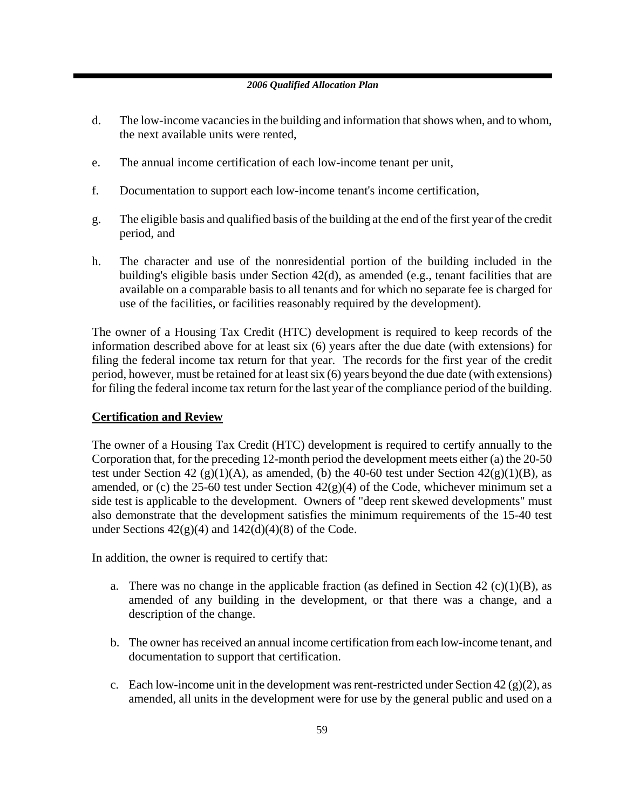- d. The low-income vacancies in the building and information that shows when, and to whom, the next available units were rented,
- e. The annual income certification of each low-income tenant per unit,
- f. Documentation to support each low-income tenant's income certification,
- g. The eligible basis and qualified basis of the building at the end of the first year of the credit period, and
- h. The character and use of the nonresidential portion of the building included in the building's eligible basis under Section 42(d), as amended (e.g., tenant facilities that are available on a comparable basis to all tenants and for which no separate fee is charged for use of the facilities, or facilities reasonably required by the development).

The owner of a Housing Tax Credit (HTC) development is required to keep records of the information described above for at least six (6) years after the due date (with extensions) for filing the federal income tax return for that year. The records for the first year of the credit period, however, must be retained for at least six (6) years beyond the due date (with extensions) for filing the federal income tax return for the last year of the compliance period of the building.

### **Certification and Review**

The owner of a Housing Tax Credit (HTC) development is required to certify annually to the Corporation that, for the preceding 12-month period the development meets either (a) the 20-50 test under Section 42 (g)(1)(A), as amended, (b) the 40-60 test under Section  $42(g)(1)(B)$ , as amended, or (c) the 25-60 test under Section  $42(g)(4)$  of the Code, whichever minimum set a side test is applicable to the development. Owners of "deep rent skewed developments" must also demonstrate that the development satisfies the minimum requirements of the 15-40 test under Sections  $42(g)(4)$  and  $142(d)(4)(8)$  of the Code.

In addition, the owner is required to certify that:

- a. There was no change in the applicable fraction (as defined in Section 42  $(c)(1)(B)$ , as amended of any building in the development, or that there was a change, and a description of the change.
- b. The owner has received an annual income certification from each low-income tenant, and documentation to support that certification.
- c. Each low-income unit in the development was rent-restricted under Section 42 (g)(2), as amended, all units in the development were for use by the general public and used on a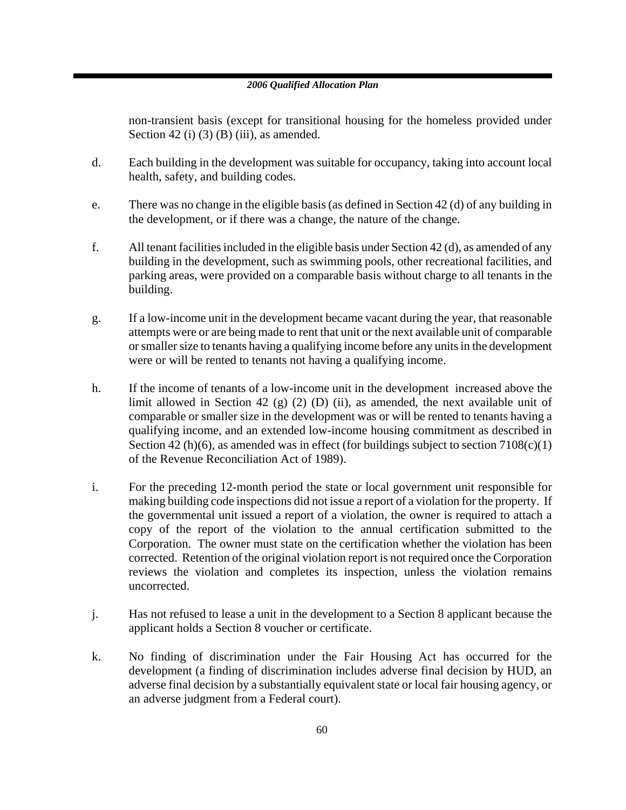non-transient basis (except for transitional housing for the homeless provided under Section 42 (i) (3) (B) (iii), as amended.

- d. Each building in the development was suitable for occupancy, taking into account local health, safety, and building codes.
- e. There was no change in the eligible basis (as defined in Section 42 (d) of any building in the development, or if there was a change, the nature of the change.
- f. All tenant facilities included in the eligible basis under Section 42 (d), as amended of any building in the development, such as swimming pools, other recreational facilities, and parking areas, were provided on a comparable basis without charge to all tenants in the building.
- g. If a low-income unit in the development became vacant during the year, that reasonable attempts were or are being made to rent that unit or the next available unit of comparable or smaller size to tenants having a qualifying income before any units in the development were or will be rented to tenants not having a qualifying income.
- h. If the income of tenants of a low-income unit in the development increased above the limit allowed in Section 42 (g) (2) (D) (ii), as amended, the next available unit of comparable or smaller size in the development was or will be rented to tenants having a qualifying income, and an extended low-income housing commitment as described in Section 42 (h)(6), as amended was in effect (for buildings subject to section  $7108(c)(1)$ of the Revenue Reconciliation Act of 1989).
- i. For the preceding 12-month period the state or local government unit responsible for making building code inspections did not issue a report of a violation for the property. If the governmental unit issued a report of a violation, the owner is required to attach a copy of the report of the violation to the annual certification submitted to the Corporation. The owner must state on the certification whether the violation has been corrected. Retention of the original violation report is not required once the Corporation reviews the violation and completes its inspection, unless the violation remains uncorrected.
- j. Has not refused to lease a unit in the development to a Section 8 applicant because the applicant holds a Section 8 voucher or certificate.
- k. No finding of discrimination under the Fair Housing Act has occurred for the development (a finding of discrimination includes adverse final decision by HUD, an adverse final decision by a substantially equivalent state or local fair housing agency, or an adverse judgment from a Federal court).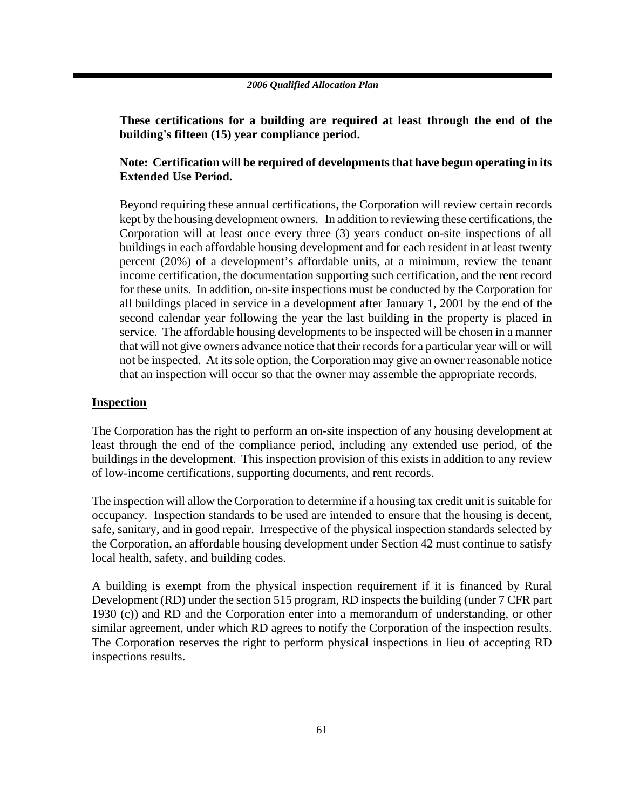**These certifications for a building are required at least through the end of the building's fifteen (15) year compliance period.** 

### **Note: Certification will be required of developments that have begun operating in its Extended Use Period.**

Beyond requiring these annual certifications, the Corporation will review certain records kept by the housing development owners. In addition to reviewing these certifications, the Corporation will at least once every three (3) years conduct on-site inspections of all buildings in each affordable housing development and for each resident in at least twenty percent (20%) of a development's affordable units, at a minimum, review the tenant income certification, the documentation supporting such certification, and the rent record for these units. In addition, on-site inspections must be conducted by the Corporation for all buildings placed in service in a development after January 1, 2001 by the end of the second calendar year following the year the last building in the property is placed in service. The affordable housing developments to be inspected will be chosen in a manner that will not give owners advance notice that their records for a particular year will or will not be inspected. At its sole option, the Corporation may give an owner reasonable notice that an inspection will occur so that the owner may assemble the appropriate records.

### **Inspection**

The Corporation has the right to perform an on-site inspection of any housing development at least through the end of the compliance period, including any extended use period, of the buildings in the development. This inspection provision of this exists in addition to any review of low-income certifications, supporting documents, and rent records.

The inspection will allow the Corporation to determine if a housing tax credit unit is suitable for occupancy. Inspection standards to be used are intended to ensure that the housing is decent, safe, sanitary, and in good repair. Irrespective of the physical inspection standards selected by the Corporation, an affordable housing development under Section 42 must continue to satisfy local health, safety, and building codes.

A building is exempt from the physical inspection requirement if it is financed by Rural Development (RD) under the section 515 program, RD inspects the building (under 7 CFR part 1930 (c)) and RD and the Corporation enter into a memorandum of understanding, or other similar agreement, under which RD agrees to notify the Corporation of the inspection results. The Corporation reserves the right to perform physical inspections in lieu of accepting RD inspections results.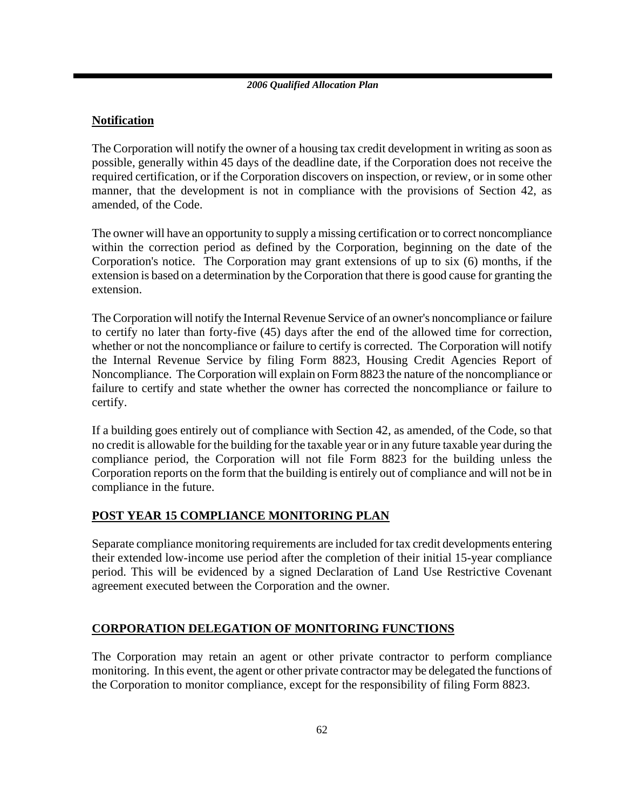### **Notification**

The Corporation will notify the owner of a housing tax credit development in writing as soon as possible, generally within 45 days of the deadline date, if the Corporation does not receive the required certification, or if the Corporation discovers on inspection, or review, or in some other manner, that the development is not in compliance with the provisions of Section 42, as amended, of the Code.

The owner will have an opportunity to supply a missing certification or to correct noncompliance within the correction period as defined by the Corporation, beginning on the date of the Corporation's notice. The Corporation may grant extensions of up to six (6) months, if the extension is based on a determination by the Corporation that there is good cause for granting the extension.

The Corporation will notify the Internal Revenue Service of an owner's noncompliance or failure to certify no later than forty-five (45) days after the end of the allowed time for correction, whether or not the noncompliance or failure to certify is corrected. The Corporation will notify the Internal Revenue Service by filing Form 8823, Housing Credit Agencies Report of Noncompliance. The Corporation will explain on Form 8823 the nature of the noncompliance or failure to certify and state whether the owner has corrected the noncompliance or failure to certify.

If a building goes entirely out of compliance with Section 42, as amended, of the Code, so that no credit is allowable for the building for the taxable year or in any future taxable year during the compliance period, the Corporation will not file Form 8823 for the building unless the Corporation reports on the form that the building is entirely out of compliance and will not be in compliance in the future.

### **POST YEAR 15 COMPLIANCE MONITORING PLAN**

Separate compliance monitoring requirements are included for tax credit developments entering their extended low-income use period after the completion of their initial 15-year compliance period. This will be evidenced by a signed Declaration of Land Use Restrictive Covenant agreement executed between the Corporation and the owner.

### **CORPORATION DELEGATION OF MONITORING FUNCTIONS**

The Corporation may retain an agent or other private contractor to perform compliance monitoring. In this event, the agent or other private contractor may be delegated the functions of the Corporation to monitor compliance, except for the responsibility of filing Form 8823.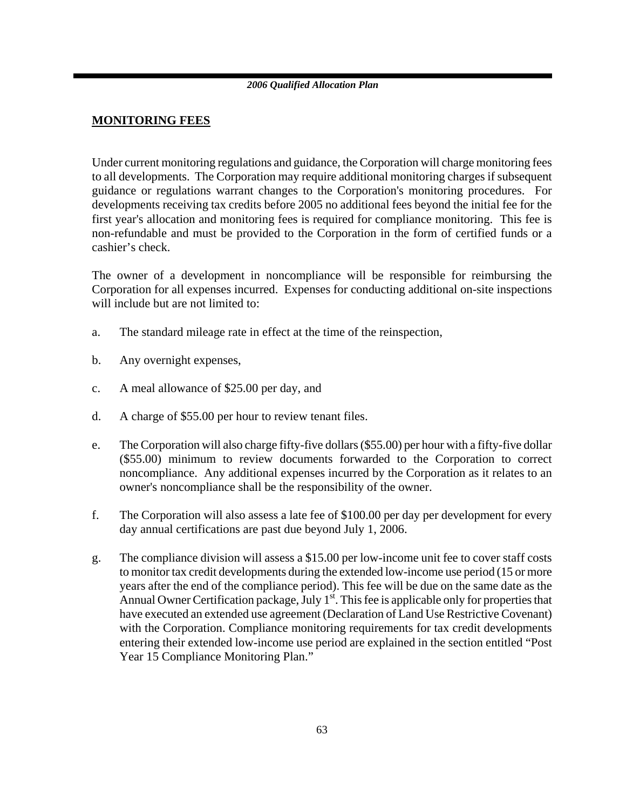### **MONITORING FEES**

Under current monitoring regulations and guidance, the Corporation will charge monitoring fees to all developments. The Corporation may require additional monitoring charges if subsequent guidance or regulations warrant changes to the Corporation's monitoring procedures. For developments receiving tax credits before 2005 no additional fees beyond the initial fee for the first year's allocation and monitoring fees is required for compliance monitoring. This fee is non-refundable and must be provided to the Corporation in the form of certified funds or a cashier's check.

The owner of a development in noncompliance will be responsible for reimbursing the Corporation for all expenses incurred. Expenses for conducting additional on-site inspections will include but are not limited to:

- a. The standard mileage rate in effect at the time of the reinspection,
- b. Any overnight expenses,
- c. A meal allowance of \$25.00 per day, and
- d. A charge of \$55.00 per hour to review tenant files.
- e. The Corporation will also charge fifty-five dollars (\$55.00) per hour with a fifty-five dollar (\$55.00) minimum to review documents forwarded to the Corporation to correct noncompliance. Any additional expenses incurred by the Corporation as it relates to an owner's noncompliance shall be the responsibility of the owner.
- f. The Corporation will also assess a late fee of \$100.00 per day per development for every day annual certifications are past due beyond July 1, 2006.
- g. The compliance division will assess a \$15.00 per low-income unit fee to cover staff costs to monitor tax credit developments during the extended low-income use period (15 or more years after the end of the compliance period). This fee will be due on the same date as the Annual Owner Certification package, July  $1<sup>st</sup>$ . This fee is applicable only for properties that have executed an extended use agreement (Declaration of Land Use Restrictive Covenant) with the Corporation. Compliance monitoring requirements for tax credit developments entering their extended low-income use period are explained in the section entitled "Post Year 15 Compliance Monitoring Plan."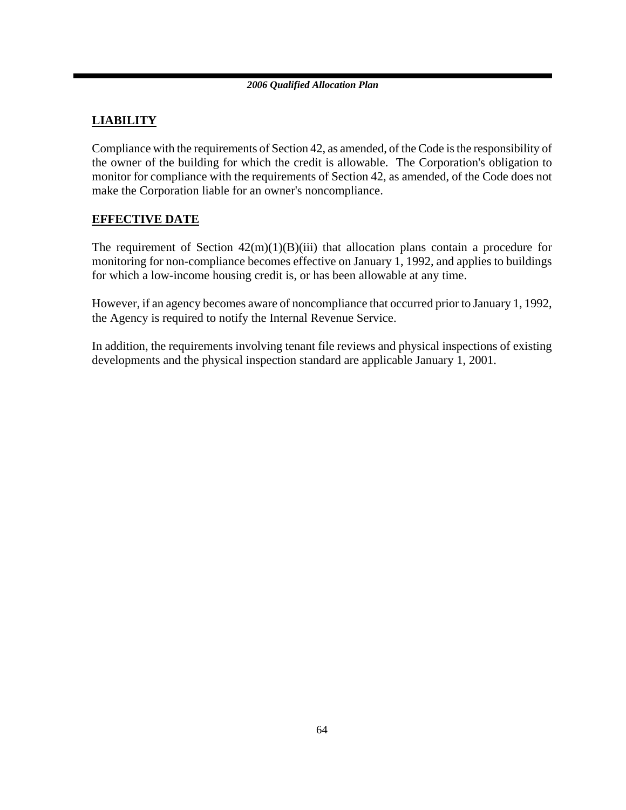### **LIABILITY**

Compliance with the requirements of Section 42, as amended, of the Code is the responsibility of the owner of the building for which the credit is allowable. The Corporation's obligation to monitor for compliance with the requirements of Section 42, as amended, of the Code does not make the Corporation liable for an owner's noncompliance.

### **EFFECTIVE DATE**

The requirement of Section  $42(m)(1)(B)(iii)$  that allocation plans contain a procedure for monitoring for non-compliance becomes effective on January 1, 1992, and applies to buildings for which a low-income housing credit is, or has been allowable at any time.

However, if an agency becomes aware of noncompliance that occurred prior to January 1, 1992, the Agency is required to notify the Internal Revenue Service.

In addition, the requirements involving tenant file reviews and physical inspections of existing developments and the physical inspection standard are applicable January 1, 2001.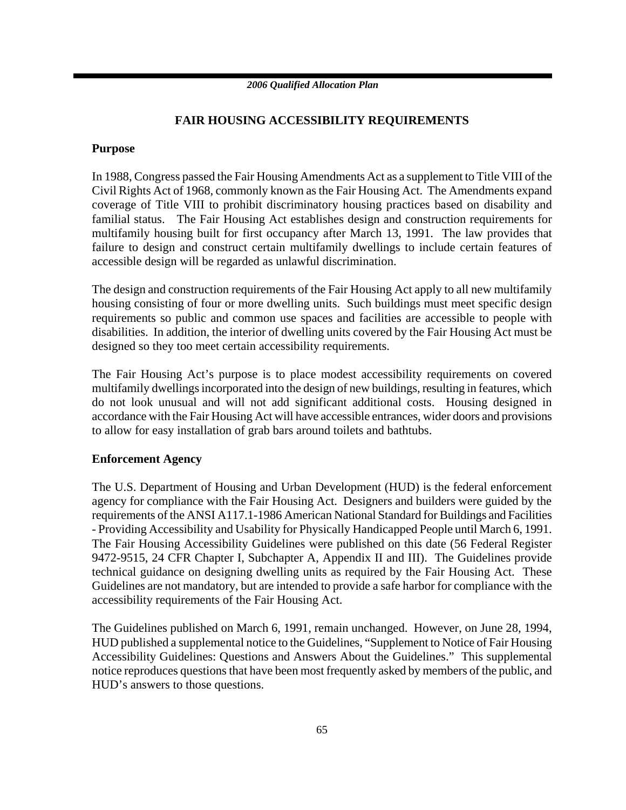### **FAIR HOUSING ACCESSIBILITY REQUIREMENTS**

### **Purpose**

In 1988, Congress passed the Fair Housing Amendments Act as a supplement to Title VIII of the Civil Rights Act of 1968, commonly known as the Fair Housing Act. The Amendments expand coverage of Title VIII to prohibit discriminatory housing practices based on disability and familial status. The Fair Housing Act establishes design and construction requirements for multifamily housing built for first occupancy after March 13, 1991. The law provides that failure to design and construct certain multifamily dwellings to include certain features of accessible design will be regarded as unlawful discrimination.

The design and construction requirements of the Fair Housing Act apply to all new multifamily housing consisting of four or more dwelling units. Such buildings must meet specific design requirements so public and common use spaces and facilities are accessible to people with disabilities. In addition, the interior of dwelling units covered by the Fair Housing Act must be designed so they too meet certain accessibility requirements.

The Fair Housing Act's purpose is to place modest accessibility requirements on covered multifamily dwellings incorporated into the design of new buildings, resulting in features, which do not look unusual and will not add significant additional costs. Housing designed in accordance with the Fair Housing Act will have accessible entrances, wider doors and provisions to allow for easy installation of grab bars around toilets and bathtubs.

### **Enforcement Agency**

The U.S. Department of Housing and Urban Development (HUD) is the federal enforcement agency for compliance with the Fair Housing Act. Designers and builders were guided by the requirements of the ANSI A117.1-1986 American National Standard for Buildings and Facilities - Providing Accessibility and Usability for Physically Handicapped People until March 6, 1991. The Fair Housing Accessibility Guidelines were published on this date (56 Federal Register 9472-9515, 24 CFR Chapter I, Subchapter A, Appendix II and III). The Guidelines provide technical guidance on designing dwelling units as required by the Fair Housing Act. These Guidelines are not mandatory, but are intended to provide a safe harbor for compliance with the accessibility requirements of the Fair Housing Act.

The Guidelines published on March 6, 1991, remain unchanged. However, on June 28, 1994, HUD published a supplemental notice to the Guidelines, "Supplement to Notice of Fair Housing Accessibility Guidelines: Questions and Answers About the Guidelines." This supplemental notice reproduces questions that have been most frequently asked by members of the public, and HUD's answers to those questions.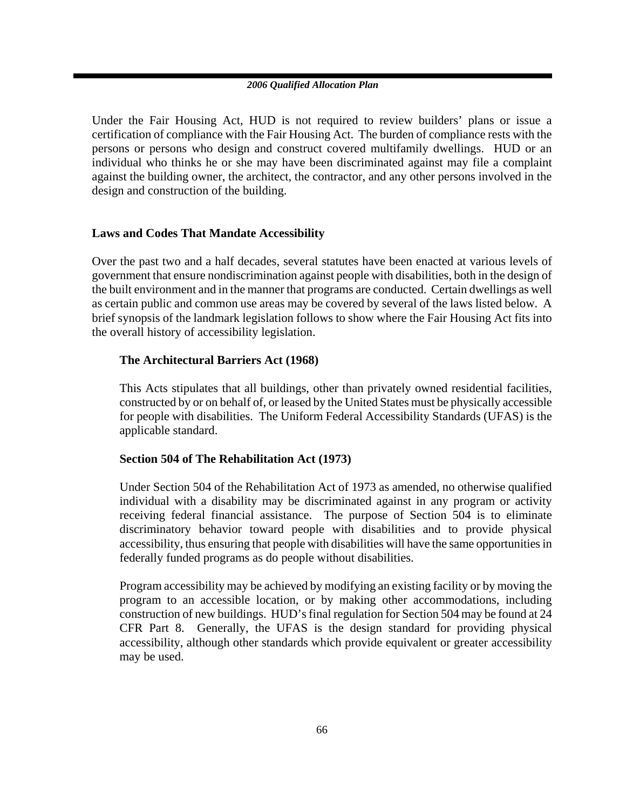Under the Fair Housing Act, HUD is not required to review builders' plans or issue a certification of compliance with the Fair Housing Act. The burden of compliance rests with the persons or persons who design and construct covered multifamily dwellings. HUD or an individual who thinks he or she may have been discriminated against may file a complaint against the building owner, the architect, the contractor, and any other persons involved in the design and construction of the building.

### **Laws and Codes That Mandate Accessibility**

Over the past two and a half decades, several statutes have been enacted at various levels of government that ensure nondiscrimination against people with disabilities, both in the design of the built environment and in the manner that programs are conducted. Certain dwellings as well as certain public and common use areas may be covered by several of the laws listed below. A brief synopsis of the landmark legislation follows to show where the Fair Housing Act fits into the overall history of accessibility legislation.

### **The Architectural Barriers Act (1968)**

This Acts stipulates that all buildings, other than privately owned residential facilities, constructed by or on behalf of, or leased by the United States must be physically accessible for people with disabilities. The Uniform Federal Accessibility Standards (UFAS) is the applicable standard.

### **Section 504 of The Rehabilitation Act (1973)**

Under Section 504 of the Rehabilitation Act of 1973 as amended, no otherwise qualified individual with a disability may be discriminated against in any program or activity receiving federal financial assistance. The purpose of Section 504 is to eliminate discriminatory behavior toward people with disabilities and to provide physical accessibility, thus ensuring that people with disabilities will have the same opportunities in federally funded programs as do people without disabilities.

Program accessibility may be achieved by modifying an existing facility or by moving the program to an accessible location, or by making other accommodations, including construction of new buildings. HUD's final regulation for Section 504 may be found at 24 CFR Part 8. Generally, the UFAS is the design standard for providing physical accessibility, although other standards which provide equivalent or greater accessibility may be used.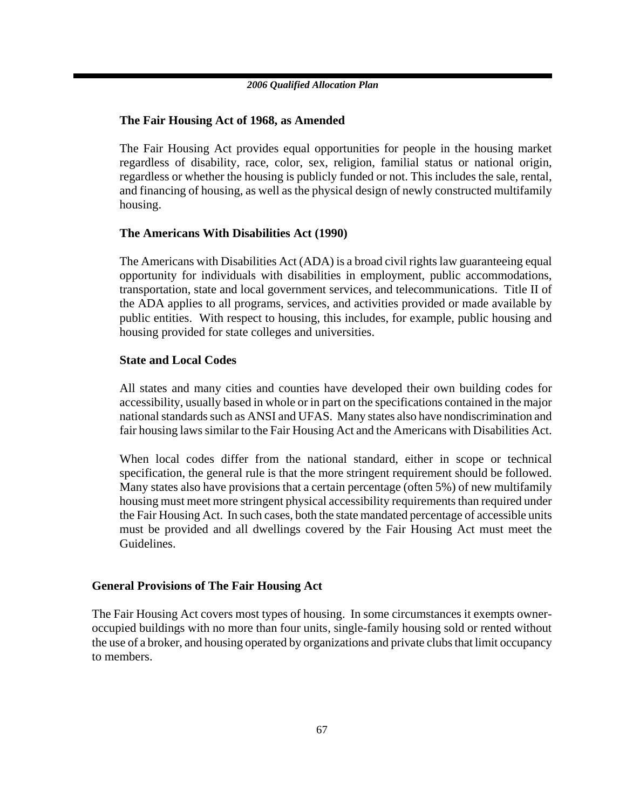### **The Fair Housing Act of 1968, as Amended**

The Fair Housing Act provides equal opportunities for people in the housing market regardless of disability, race, color, sex, religion, familial status or national origin, regardless or whether the housing is publicly funded or not. This includes the sale, rental, and financing of housing, as well as the physical design of newly constructed multifamily housing.

### **The Americans With Disabilities Act (1990)**

The Americans with Disabilities Act (ADA) is a broad civil rights law guaranteeing equal opportunity for individuals with disabilities in employment, public accommodations, transportation, state and local government services, and telecommunications. Title II of the ADA applies to all programs, services, and activities provided or made available by public entities. With respect to housing, this includes, for example, public housing and housing provided for state colleges and universities.

### **State and Local Codes**

All states and many cities and counties have developed their own building codes for accessibility, usually based in whole or in part on the specifications contained in the major national standards such as ANSI and UFAS. Many states also have nondiscrimination and fair housing laws similar to the Fair Housing Act and the Americans with Disabilities Act.

When local codes differ from the national standard, either in scope or technical specification, the general rule is that the more stringent requirement should be followed. Many states also have provisions that a certain percentage (often 5%) of new multifamily housing must meet more stringent physical accessibility requirements than required under the Fair Housing Act. In such cases, both the state mandated percentage of accessible units must be provided and all dwellings covered by the Fair Housing Act must meet the Guidelines.

### **General Provisions of The Fair Housing Act**

The Fair Housing Act covers most types of housing. In some circumstances it exempts owneroccupied buildings with no more than four units, single-family housing sold or rented without the use of a broker, and housing operated by organizations and private clubs that limit occupancy to members.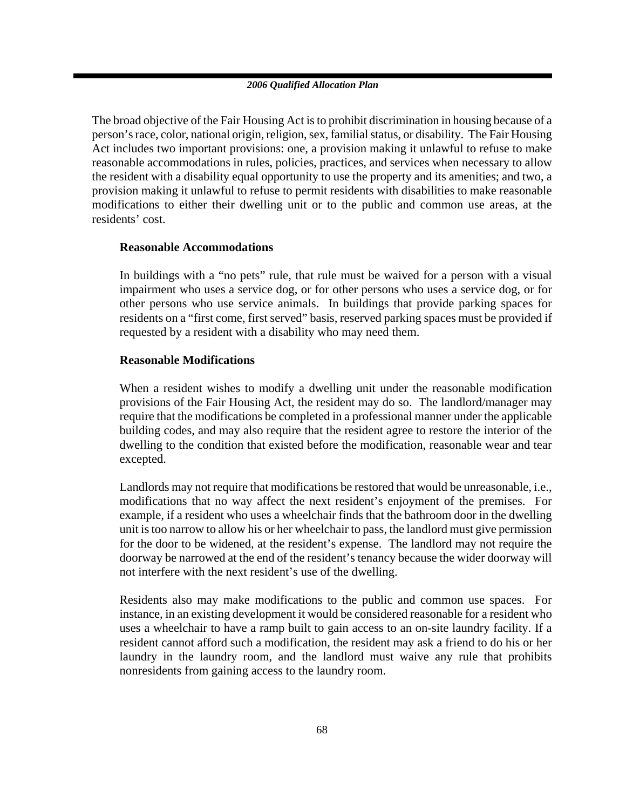The broad objective of the Fair Housing Act is to prohibit discrimination in housing because of a person's race, color, national origin, religion, sex, familial status, or disability. The Fair Housing Act includes two important provisions: one, a provision making it unlawful to refuse to make reasonable accommodations in rules, policies, practices, and services when necessary to allow the resident with a disability equal opportunity to use the property and its amenities; and two, a provision making it unlawful to refuse to permit residents with disabilities to make reasonable modifications to either their dwelling unit or to the public and common use areas, at the residents' cost.

### **Reasonable Accommodations**

In buildings with a "no pets" rule, that rule must be waived for a person with a visual impairment who uses a service dog, or for other persons who uses a service dog, or for other persons who use service animals. In buildings that provide parking spaces for residents on a "first come, first served" basis, reserved parking spaces must be provided if requested by a resident with a disability who may need them.

### **Reasonable Modifications**

When a resident wishes to modify a dwelling unit under the reasonable modification provisions of the Fair Housing Act, the resident may do so. The landlord/manager may require that the modifications be completed in a professional manner under the applicable building codes, and may also require that the resident agree to restore the interior of the dwelling to the condition that existed before the modification, reasonable wear and tear excepted.

Landlords may not require that modifications be restored that would be unreasonable, i.e., modifications that no way affect the next resident's enjoyment of the premises. For example, if a resident who uses a wheelchair finds that the bathroom door in the dwelling unit is too narrow to allow his or her wheelchair to pass, the landlord must give permission for the door to be widened, at the resident's expense. The landlord may not require the doorway be narrowed at the end of the resident's tenancy because the wider doorway will not interfere with the next resident's use of the dwelling.

Residents also may make modifications to the public and common use spaces. For instance, in an existing development it would be considered reasonable for a resident who uses a wheelchair to have a ramp built to gain access to an on-site laundry facility. If a resident cannot afford such a modification, the resident may ask a friend to do his or her laundry in the laundry room, and the landlord must waive any rule that prohibits nonresidents from gaining access to the laundry room.